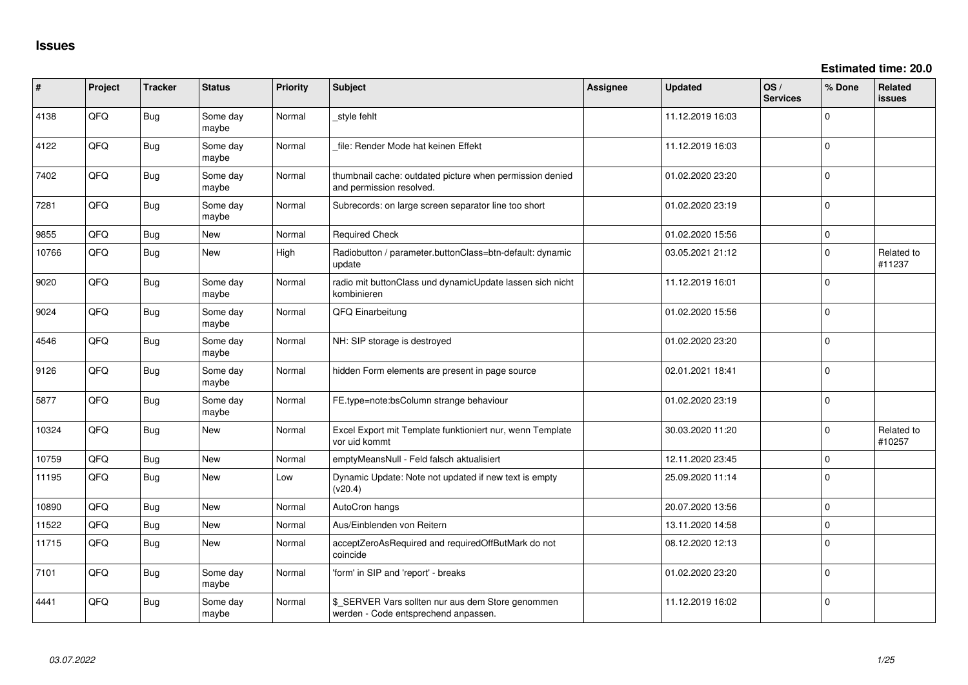**Estimated time: 20.0**

| #     | Project | <b>Tracker</b> | <b>Status</b>     | <b>Priority</b> | Subject                                                                                   | <b>Assignee</b> | <b>Updated</b>   | OS/<br><b>Services</b> | % Done      | Related<br>issues    |
|-------|---------|----------------|-------------------|-----------------|-------------------------------------------------------------------------------------------|-----------------|------------------|------------------------|-------------|----------------------|
| 4138  | QFQ     | <b>Bug</b>     | Some day<br>maybe | Normal          | _style fehlt                                                                              |                 | 11.12.2019 16:03 |                        | $\Omega$    |                      |
| 4122  | QFQ     | Bug            | Some day<br>maybe | Normal          | file: Render Mode hat keinen Effekt                                                       |                 | 11.12.2019 16:03 |                        | $\Omega$    |                      |
| 7402  | QFQ     | Bug            | Some day<br>maybe | Normal          | thumbnail cache: outdated picture when permission denied<br>and permission resolved.      |                 | 01.02.2020 23:20 |                        | I٥          |                      |
| 7281  | QFQ     | <b>Bug</b>     | Some day<br>maybe | Normal          | Subrecords: on large screen separator line too short                                      |                 | 01.02.2020 23:19 |                        | ١o          |                      |
| 9855  | QFQ     | Bug            | New               | Normal          | <b>Required Check</b>                                                                     |                 | 01.02.2020 15:56 |                        | I٥          |                      |
| 10766 | QFQ     | Bug            | New               | High            | Radiobutton / parameter.buttonClass=btn-default: dynamic<br>update                        |                 | 03.05.2021 21:12 |                        | I٥          | Related to<br>#11237 |
| 9020  | QFQ     | <b>Bug</b>     | Some day<br>maybe | Normal          | radio mit buttonClass und dynamicUpdate lassen sich nicht<br>kombinieren                  |                 | 11.12.2019 16:01 |                        | $\Omega$    |                      |
| 9024  | QFQ     | Bug            | Some day<br>maybe | Normal          | QFQ Einarbeitung                                                                          |                 | 01.02.2020 15:56 |                        | $\mathbf 0$ |                      |
| 4546  | QFQ     | <b>Bug</b>     | Some day<br>maybe | Normal          | NH: SIP storage is destroyed                                                              |                 | 01.02.2020 23:20 |                        | $\Omega$    |                      |
| 9126  | QFQ     | <b>Bug</b>     | Some day<br>maybe | Normal          | hidden Form elements are present in page source                                           |                 | 02.01.2021 18:41 |                        | $\Omega$    |                      |
| 5877  | QFQ     | Bug            | Some day<br>maybe | Normal          | FE.type=note:bsColumn strange behaviour                                                   |                 | 01.02.2020 23:19 |                        | ١o          |                      |
| 10324 | QFQ     | Bug            | New               | Normal          | Excel Export mit Template funktioniert nur, wenn Template<br>vor uid kommt                |                 | 30.03.2020 11:20 |                        | $\Omega$    | Related to<br>#10257 |
| 10759 | QFQ     | <b>Bug</b>     | New               | Normal          | emptyMeansNull - Feld falsch aktualisiert                                                 |                 | 12.11.2020 23:45 |                        | $\mathbf 0$ |                      |
| 11195 | QFG     | <b>Bug</b>     | New               | Low             | Dynamic Update: Note not updated if new text is empty<br>(v20.4)                          |                 | 25.09.2020 11:14 |                        | $\Omega$    |                      |
| 10890 | QFQ     | <b>Bug</b>     | New               | Normal          | AutoCron hangs                                                                            |                 | 20.07.2020 13:56 |                        | l 0         |                      |
| 11522 | QFQ     | Bug            | New               | Normal          | Aus/Einblenden von Reitern                                                                |                 | 13.11.2020 14:58 |                        | $\mathbf 0$ |                      |
| 11715 | QFQ     | Bug            | New               | Normal          | acceptZeroAsRequired and requiredOffButMark do not<br>coincide                            |                 | 08.12.2020 12:13 |                        | I٥          |                      |
| 7101  | QFQ     | Bug            | Some day<br>maybe | Normal          | 'form' in SIP and 'report' - breaks                                                       |                 | 01.02.2020 23:20 |                        | l 0         |                      |
| 4441  | QFQ     | <b>Bug</b>     | Some day<br>maybe | Normal          | \$_SERVER Vars sollten nur aus dem Store genommen<br>werden - Code entsprechend anpassen. |                 | 11.12.2019 16:02 |                        | l 0         |                      |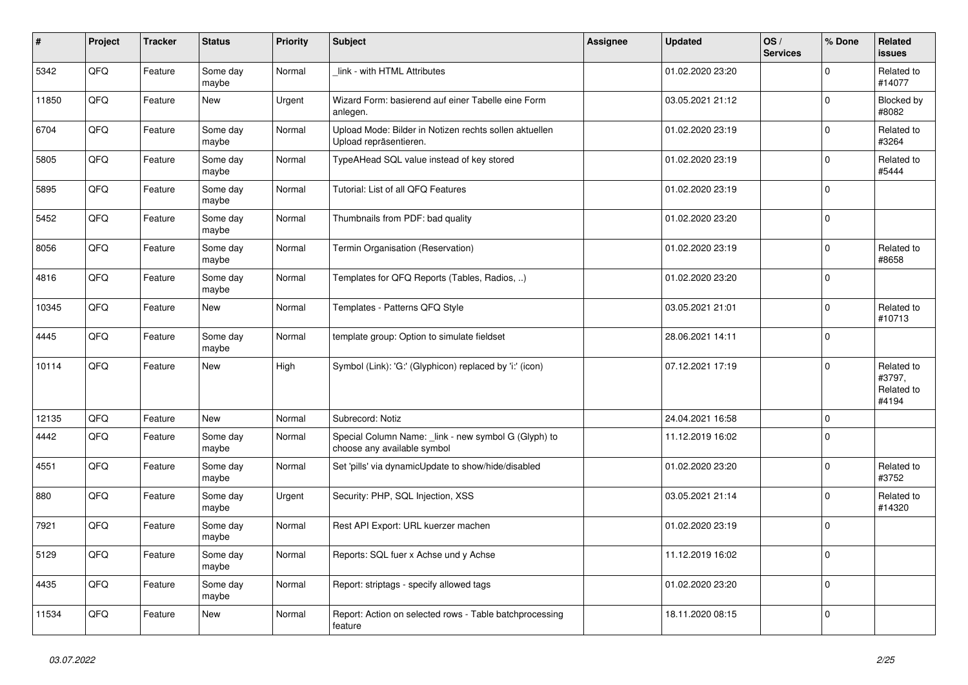| #     | Project | <b>Tracker</b> | <b>Status</b>     | <b>Priority</b> | <b>Subject</b>                                                                     | Assignee | <b>Updated</b>   | OS/<br><b>Services</b> | % Done      | Related<br><b>issues</b>                    |
|-------|---------|----------------|-------------------|-----------------|------------------------------------------------------------------------------------|----------|------------------|------------------------|-------------|---------------------------------------------|
| 5342  | QFQ     | Feature        | Some day<br>maybe | Normal          | link - with HTML Attributes                                                        |          | 01.02.2020 23:20 |                        | $\Omega$    | Related to<br>#14077                        |
| 11850 | QFQ     | Feature        | New               | Urgent          | Wizard Form: basierend auf einer Tabelle eine Form<br>anlegen.                     |          | 03.05.2021 21:12 |                        | $\Omega$    | Blocked by<br>#8082                         |
| 6704  | QFQ     | Feature        | Some day<br>maybe | Normal          | Upload Mode: Bilder in Notizen rechts sollen aktuellen<br>Upload repräsentieren.   |          | 01.02.2020 23:19 |                        | $\Omega$    | Related to<br>#3264                         |
| 5805  | QFQ     | Feature        | Some day<br>maybe | Normal          | TypeAHead SQL value instead of key stored                                          |          | 01.02.2020 23:19 |                        | $\Omega$    | Related to<br>#5444                         |
| 5895  | QFQ     | Feature        | Some day<br>maybe | Normal          | Tutorial: List of all QFQ Features                                                 |          | 01.02.2020 23:19 |                        | $\mathbf 0$ |                                             |
| 5452  | QFQ     | Feature        | Some day<br>maybe | Normal          | Thumbnails from PDF: bad quality                                                   |          | 01.02.2020 23:20 |                        | $\mathbf 0$ |                                             |
| 8056  | QFQ     | Feature        | Some day<br>maybe | Normal          | Termin Organisation (Reservation)                                                  |          | 01.02.2020 23:19 |                        | $\Omega$    | Related to<br>#8658                         |
| 4816  | QFQ     | Feature        | Some day<br>maybe | Normal          | Templates for QFQ Reports (Tables, Radios, )                                       |          | 01.02.2020 23:20 |                        | $\mathbf 0$ |                                             |
| 10345 | QFQ     | Feature        | <b>New</b>        | Normal          | Templates - Patterns QFQ Style                                                     |          | 03.05.2021 21:01 |                        | $\Omega$    | Related to<br>#10713                        |
| 4445  | QFQ     | Feature        | Some day<br>maybe | Normal          | template group: Option to simulate fieldset                                        |          | 28.06.2021 14:11 |                        | $\mathbf 0$ |                                             |
| 10114 | QFQ     | Feature        | <b>New</b>        | High            | Symbol (Link): 'G:' (Glyphicon) replaced by 'i:' (icon)                            |          | 07.12.2021 17:19 |                        | $\mathbf 0$ | Related to<br>#3797,<br>Related to<br>#4194 |
| 12135 | QFQ     | Feature        | <b>New</b>        | Normal          | Subrecord: Notiz                                                                   |          | 24.04.2021 16:58 |                        | $\mathbf 0$ |                                             |
| 4442  | QFQ     | Feature        | Some day<br>maybe | Normal          | Special Column Name: link - new symbol G (Glyph) to<br>choose any available symbol |          | 11.12.2019 16:02 |                        | $\Omega$    |                                             |
| 4551  | QFQ     | Feature        | Some day<br>maybe | Normal          | Set 'pills' via dynamicUpdate to show/hide/disabled                                |          | 01.02.2020 23:20 |                        | $\mathbf 0$ | Related to<br>#3752                         |
| 880   | QFQ     | Feature        | Some day<br>maybe | Urgent          | Security: PHP, SQL Injection, XSS                                                  |          | 03.05.2021 21:14 |                        | $\Omega$    | Related to<br>#14320                        |
| 7921  | QFQ     | Feature        | Some day<br>maybe | Normal          | Rest API Export: URL kuerzer machen                                                |          | 01.02.2020 23:19 |                        | $\Omega$    |                                             |
| 5129  | QFQ     | Feature        | Some day<br>maybe | Normal          | Reports: SQL fuer x Achse und y Achse                                              |          | 11.12.2019 16:02 |                        | $\Omega$    |                                             |
| 4435  | QFQ     | Feature        | Some day<br>maybe | Normal          | Report: striptags - specify allowed tags                                           |          | 01.02.2020 23:20 |                        | $\Omega$    |                                             |
| 11534 | QFQ     | Feature        | New               | Normal          | Report: Action on selected rows - Table batchprocessing<br>feature                 |          | 18.11.2020 08:15 |                        | $\mathbf 0$ |                                             |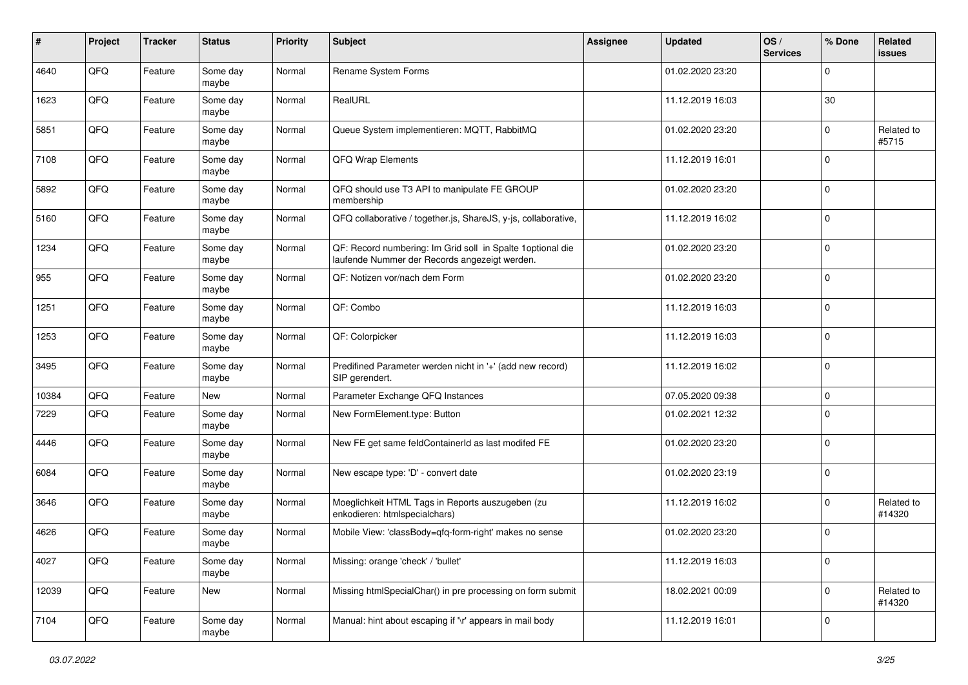| $\sharp$ | Project | <b>Tracker</b> | <b>Status</b>     | <b>Priority</b> | <b>Subject</b>                                                                                              | Assignee | <b>Updated</b>   | OS/<br><b>Services</b> | % Done       | Related<br>issues    |
|----------|---------|----------------|-------------------|-----------------|-------------------------------------------------------------------------------------------------------------|----------|------------------|------------------------|--------------|----------------------|
| 4640     | QFQ     | Feature        | Some day<br>maybe | Normal          | Rename System Forms                                                                                         |          | 01.02.2020 23:20 |                        | $\Omega$     |                      |
| 1623     | QFQ     | Feature        | Some day<br>maybe | Normal          | RealURL                                                                                                     |          | 11.12.2019 16:03 |                        | 30           |                      |
| 5851     | QFQ     | Feature        | Some day<br>maybe | Normal          | Queue System implementieren: MQTT, RabbitMQ                                                                 |          | 01.02.2020 23:20 |                        | $\Omega$     | Related to<br>#5715  |
| 7108     | QFQ     | Feature        | Some day<br>maybe | Normal          | QFQ Wrap Elements                                                                                           |          | 11.12.2019 16:01 |                        | $\mathbf 0$  |                      |
| 5892     | QFQ     | Feature        | Some day<br>maybe | Normal          | QFQ should use T3 API to manipulate FE GROUP<br>membership                                                  |          | 01.02.2020 23:20 |                        | $\mathbf 0$  |                      |
| 5160     | QFQ     | Feature        | Some day<br>maybe | Normal          | QFQ collaborative / together.js, ShareJS, y-js, collaborative,                                              |          | 11.12.2019 16:02 |                        | $\Omega$     |                      |
| 1234     | QFQ     | Feature        | Some day<br>maybe | Normal          | QF: Record numbering: Im Grid soll in Spalte 1optional die<br>laufende Nummer der Records angezeigt werden. |          | 01.02.2020 23:20 |                        | $\Omega$     |                      |
| 955      | QFQ     | Feature        | Some day<br>maybe | Normal          | QF: Notizen vor/nach dem Form                                                                               |          | 01.02.2020 23:20 |                        | $\mathbf 0$  |                      |
| 1251     | QFQ     | Feature        | Some day<br>maybe | Normal          | QF: Combo                                                                                                   |          | 11.12.2019 16:03 |                        | l 0          |                      |
| 1253     | QFQ     | Feature        | Some day<br>maybe | Normal          | QF: Colorpicker                                                                                             |          | 11.12.2019 16:03 |                        | $\mathbf{0}$ |                      |
| 3495     | QFQ     | Feature        | Some day<br>maybe | Normal          | Predifined Parameter werden nicht in '+' (add new record)<br>SIP gerendert.                                 |          | 11.12.2019 16:02 |                        | l 0          |                      |
| 10384    | QFQ     | Feature        | New               | Normal          | Parameter Exchange QFQ Instances                                                                            |          | 07.05.2020 09:38 |                        | $\mathbf 0$  |                      |
| 7229     | QFQ     | Feature        | Some day<br>maybe | Normal          | New FormElement.type: Button                                                                                |          | 01.02.2021 12:32 |                        | $\Omega$     |                      |
| 4446     | QFQ     | Feature        | Some day<br>maybe | Normal          | New FE get same feldContainerId as last modifed FE                                                          |          | 01.02.2020 23:20 |                        | $\mathbf 0$  |                      |
| 6084     | QFQ     | Feature        | Some day<br>maybe | Normal          | New escape type: 'D' - convert date                                                                         |          | 01.02.2020 23:19 |                        | l 0          |                      |
| 3646     | QFQ     | Feature        | Some day<br>maybe | Normal          | Moeglichkeit HTML Tags in Reports auszugeben (zu<br>enkodieren: htmlspecialchars)                           |          | 11.12.2019 16:02 |                        | $\mathbf{0}$ | Related to<br>#14320 |
| 4626     | QFQ     | Feature        | Some day<br>maybe | Normal          | Mobile View: 'classBody=qfq-form-right' makes no sense                                                      |          | 01.02.2020 23:20 |                        | l 0          |                      |
| 4027     | QFQ     | Feature        | Some day<br>maybe | Normal          | Missing: orange 'check' / 'bullet'                                                                          |          | 11.12.2019 16:03 |                        | $\mathbf 0$  |                      |
| 12039    | QFQ     | Feature        | New               | Normal          | Missing htmlSpecialChar() in pre processing on form submit                                                  |          | 18.02.2021 00:09 |                        | $\mathbf 0$  | Related to<br>#14320 |
| 7104     | QFQ     | Feature        | Some day<br>maybe | Normal          | Manual: hint about escaping if '\r' appears in mail body                                                    |          | 11.12.2019 16:01 |                        | 0            |                      |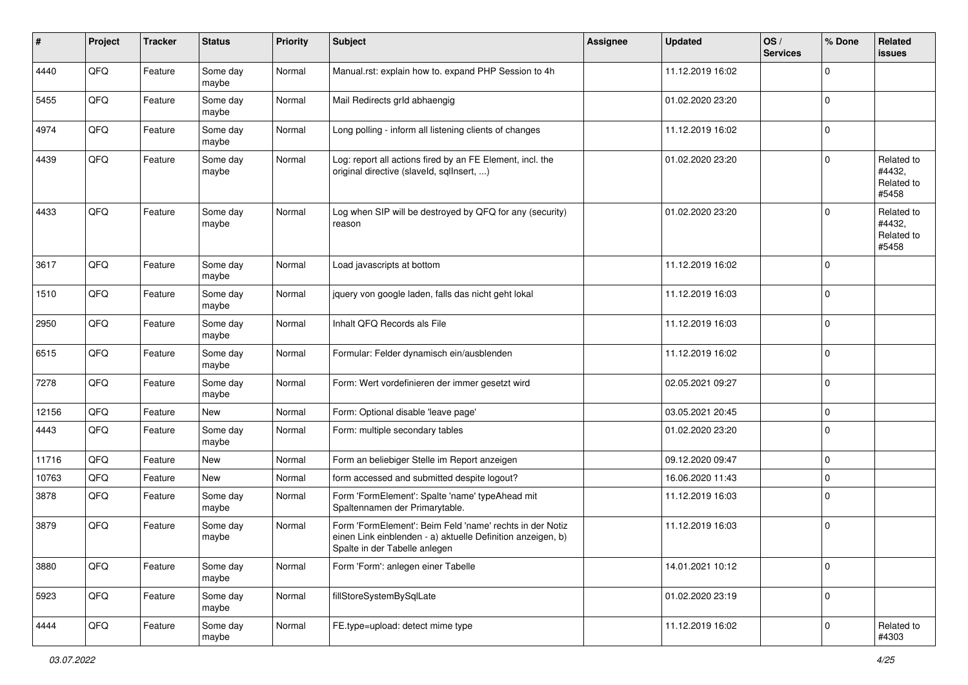| #     | Project | <b>Tracker</b> | <b>Status</b>     | <b>Priority</b> | <b>Subject</b>                                                                                                                                           | <b>Assignee</b> | <b>Updated</b>   | OS/<br><b>Services</b> | % Done         | Related<br><b>issues</b>                    |
|-------|---------|----------------|-------------------|-----------------|----------------------------------------------------------------------------------------------------------------------------------------------------------|-----------------|------------------|------------------------|----------------|---------------------------------------------|
| 4440  | QFQ     | Feature        | Some day<br>maybe | Normal          | Manual.rst: explain how to. expand PHP Session to 4h                                                                                                     |                 | 11.12.2019 16:02 |                        | $\Omega$       |                                             |
| 5455  | QFQ     | Feature        | Some day<br>maybe | Normal          | Mail Redirects grld abhaengig                                                                                                                            |                 | 01.02.2020 23:20 |                        | 0              |                                             |
| 4974  | QFQ     | Feature        | Some day<br>maybe | Normal          | Long polling - inform all listening clients of changes                                                                                                   |                 | 11.12.2019 16:02 |                        | $\mathbf 0$    |                                             |
| 4439  | QFQ     | Feature        | Some day<br>maybe | Normal          | Log: report all actions fired by an FE Element, incl. the<br>original directive (slaveld, sqllnsert, )                                                   |                 | 01.02.2020 23:20 |                        | $\mathbf 0$    | Related to<br>#4432,<br>Related to<br>#5458 |
| 4433  | QFQ     | Feature        | Some day<br>maybe | Normal          | Log when SIP will be destroyed by QFQ for any (security)<br>reason                                                                                       |                 | 01.02.2020 23:20 |                        | $\Omega$       | Related to<br>#4432,<br>Related to<br>#5458 |
| 3617  | QFQ     | Feature        | Some day<br>maybe | Normal          | Load javascripts at bottom                                                                                                                               |                 | 11.12.2019 16:02 |                        | 0              |                                             |
| 1510  | QFQ     | Feature        | Some day<br>maybe | Normal          | jquery von google laden, falls das nicht geht lokal                                                                                                      |                 | 11.12.2019 16:03 |                        | 0              |                                             |
| 2950  | QFQ     | Feature        | Some day<br>maybe | Normal          | Inhalt QFQ Records als File                                                                                                                              |                 | 11.12.2019 16:03 |                        | $\mathbf 0$    |                                             |
| 6515  | QFQ     | Feature        | Some day<br>maybe | Normal          | Formular: Felder dynamisch ein/ausblenden                                                                                                                |                 | 11.12.2019 16:02 |                        | $\mathbf 0$    |                                             |
| 7278  | QFQ     | Feature        | Some day<br>maybe | Normal          | Form: Wert vordefinieren der immer gesetzt wird                                                                                                          |                 | 02.05.2021 09:27 |                        | $\mathbf 0$    |                                             |
| 12156 | QFQ     | Feature        | New               | Normal          | Form: Optional disable 'leave page'                                                                                                                      |                 | 03.05.2021 20:45 |                        | $\mathbf 0$    |                                             |
| 4443  | QFQ     | Feature        | Some day<br>maybe | Normal          | Form: multiple secondary tables                                                                                                                          |                 | 01.02.2020 23:20 |                        | 0              |                                             |
| 11716 | QFQ     | Feature        | New               | Normal          | Form an beliebiger Stelle im Report anzeigen                                                                                                             |                 | 09.12.2020 09:47 |                        | $\mathbf 0$    |                                             |
| 10763 | QFQ     | Feature        | New               | Normal          | form accessed and submitted despite logout?                                                                                                              |                 | 16.06.2020 11:43 |                        | 0              |                                             |
| 3878  | QFQ     | Feature        | Some day<br>maybe | Normal          | Form 'FormElement': Spalte 'name' typeAhead mit<br>Spaltennamen der Primarytable.                                                                        |                 | 11.12.2019 16:03 |                        | $\Omega$       |                                             |
| 3879  | QFQ     | Feature        | Some day<br>maybe | Normal          | Form 'FormElement': Beim Feld 'name' rechts in der Notiz<br>einen Link einblenden - a) aktuelle Definition anzeigen, b)<br>Spalte in der Tabelle anlegen |                 | 11.12.2019 16:03 |                        | $\mathbf 0$    |                                             |
| 3880  | QFQ     | Feature        | Some day<br>maybe | Normal          | Form 'Form': anlegen einer Tabelle                                                                                                                       |                 | 14.01.2021 10:12 |                        | 0              |                                             |
| 5923  | QFG     | Feature        | Some day<br>maybe | Normal          | fillStoreSystemBySqlLate                                                                                                                                 |                 | 01.02.2020 23:19 |                        | $\overline{0}$ |                                             |
| 4444  | QFQ     | Feature        | Some day<br>maybe | Normal          | FE.type=upload: detect mime type                                                                                                                         |                 | 11.12.2019 16:02 |                        | $\overline{0}$ | Related to<br>#4303                         |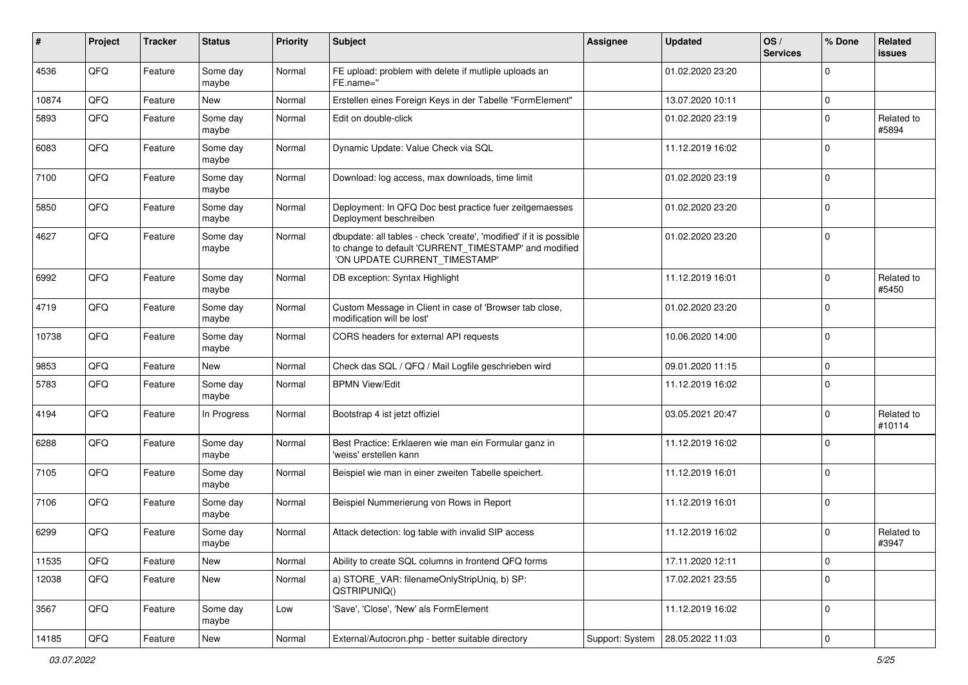| #     | Project | <b>Tracker</b> | <b>Status</b>     | <b>Priority</b> | Subject                                                                                                                                                       | Assignee        | <b>Updated</b>   | OS/<br><b>Services</b> | % Done         | Related<br>issues    |
|-------|---------|----------------|-------------------|-----------------|---------------------------------------------------------------------------------------------------------------------------------------------------------------|-----------------|------------------|------------------------|----------------|----------------------|
| 4536  | QFQ     | Feature        | Some day<br>maybe | Normal          | FE upload: problem with delete if mutliple uploads an<br>FE.name="                                                                                            |                 | 01.02.2020 23:20 |                        | $\Omega$       |                      |
| 10874 | QFQ     | Feature        | <b>New</b>        | Normal          | Erstellen eines Foreign Keys in der Tabelle "FormElement"                                                                                                     |                 | 13.07.2020 10:11 |                        | $\mathbf 0$    |                      |
| 5893  | QFQ     | Feature        | Some day<br>maybe | Normal          | Edit on double-click                                                                                                                                          |                 | 01.02.2020 23:19 |                        | $\Omega$       | Related to<br>#5894  |
| 6083  | QFQ     | Feature        | Some day<br>maybe | Normal          | Dynamic Update: Value Check via SQL                                                                                                                           |                 | 11.12.2019 16:02 |                        | $\Omega$       |                      |
| 7100  | QFQ     | Feature        | Some day<br>maybe | Normal          | Download: log access, max downloads, time limit                                                                                                               |                 | 01.02.2020 23:19 |                        | $\Omega$       |                      |
| 5850  | QFQ     | Feature        | Some day<br>maybe | Normal          | Deployment: In QFQ Doc best practice fuer zeitgemaesses<br>Deployment beschreiben                                                                             |                 | 01.02.2020 23:20 |                        | $\Omega$       |                      |
| 4627  | QFQ     | Feature        | Some day<br>maybe | Normal          | dbupdate: all tables - check 'create', 'modified' if it is possible<br>to change to default 'CURRENT_TIMESTAMP' and modified<br>'ON UPDATE CURRENT_TIMESTAMP' |                 | 01.02.2020 23:20 |                        | $\mathbf 0$    |                      |
| 6992  | QFQ     | Feature        | Some day<br>maybe | Normal          | DB exception: Syntax Highlight                                                                                                                                |                 | 11.12.2019 16:01 |                        | $\Omega$       | Related to<br>#5450  |
| 4719  | QFQ     | Feature        | Some day<br>maybe | Normal          | Custom Message in Client in case of 'Browser tab close,<br>modification will be lost'                                                                         |                 | 01.02.2020 23:20 |                        | $\Omega$       |                      |
| 10738 | QFQ     | Feature        | Some day<br>maybe | Normal          | CORS headers for external API requests                                                                                                                        |                 | 10.06.2020 14:00 |                        | $\Omega$       |                      |
| 9853  | QFQ     | Feature        | New               | Normal          | Check das SQL / QFQ / Mail Logfile geschrieben wird                                                                                                           |                 | 09.01.2020 11:15 |                        | $\mathbf 0$    |                      |
| 5783  | QFQ     | Feature        | Some day<br>maybe | Normal          | <b>BPMN View/Edit</b>                                                                                                                                         |                 | 11.12.2019 16:02 |                        | $\Omega$       |                      |
| 4194  | QFQ     | Feature        | In Progress       | Normal          | Bootstrap 4 ist jetzt offiziel                                                                                                                                |                 | 03.05.2021 20:47 |                        | $\Omega$       | Related to<br>#10114 |
| 6288  | QFQ     | Feature        | Some day<br>maybe | Normal          | Best Practice: Erklaeren wie man ein Formular ganz in<br>'weiss' erstellen kann                                                                               |                 | 11.12.2019 16:02 |                        | $\Omega$       |                      |
| 7105  | QFQ     | Feature        | Some day<br>maybe | Normal          | Beispiel wie man in einer zweiten Tabelle speichert.                                                                                                          |                 | 11.12.2019 16:01 |                        | $\mathbf 0$    |                      |
| 7106  | QFQ     | Feature        | Some day<br>maybe | Normal          | Beispiel Nummerierung von Rows in Report                                                                                                                      |                 | 11.12.2019 16:01 |                        | $\Omega$       |                      |
| 6299  | QFQ     | Feature        | Some day<br>maybe | Normal          | Attack detection: log table with invalid SIP access                                                                                                           |                 | 11.12.2019 16:02 |                        | $\Omega$       | Related to<br>#3947  |
| 11535 | QFQ     | Feature        | New               | Normal          | Ability to create SQL columns in frontend QFQ forms                                                                                                           |                 | 17.11.2020 12:11 |                        | $\mathbf 0$    |                      |
| 12038 | QFQ     | Feature        | New               | Normal          | a) STORE_VAR: filenameOnlyStripUniq, b) SP:<br>QSTRIPUNIQ()                                                                                                   |                 | 17.02.2021 23:55 |                        | $\mathbf 0$    |                      |
| 3567  | QFQ     | Feature        | Some day<br>maybe | Low             | 'Save', 'Close', 'New' als FormElement                                                                                                                        |                 | 11.12.2019 16:02 |                        | $\mathbf 0$    |                      |
| 14185 | QFQ     | Feature        | New               | Normal          | External/Autocron.php - better suitable directory                                                                                                             | Support: System | 28.05.2022 11:03 |                        | $\overline{0}$ |                      |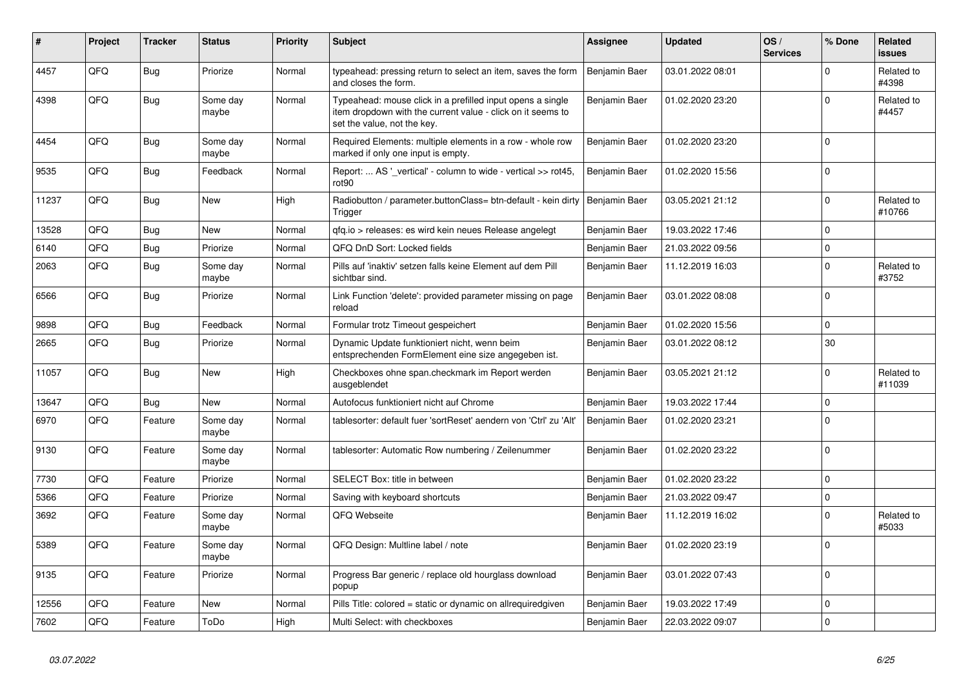| ∦     | Project | <b>Tracker</b> | <b>Status</b>     | <b>Priority</b> | <b>Subject</b>                                                                                                                                           | Assignee      | <b>Updated</b>   | OS/<br><b>Services</b> | % Done      | Related<br><b>issues</b> |
|-------|---------|----------------|-------------------|-----------------|----------------------------------------------------------------------------------------------------------------------------------------------------------|---------------|------------------|------------------------|-------------|--------------------------|
| 4457  | QFQ     | Bug            | Priorize          | Normal          | typeahead: pressing return to select an item, saves the form<br>and closes the form.                                                                     | Benjamin Baer | 03.01.2022 08:01 |                        | $\Omega$    | Related to<br>#4398      |
| 4398  | QFQ     | <b>Bug</b>     | Some day<br>maybe | Normal          | Typeahead: mouse click in a prefilled input opens a single<br>item dropdown with the current value - click on it seems to<br>set the value, not the key. | Benjamin Baer | 01.02.2020 23:20 |                        | $\Omega$    | Related to<br>#4457      |
| 4454  | QFQ     | <b>Bug</b>     | Some day<br>maybe | Normal          | Required Elements: multiple elements in a row - whole row<br>marked if only one input is empty.                                                          | Benjamin Baer | 01.02.2020 23:20 |                        | $\Omega$    |                          |
| 9535  | QFQ     | <b>Bug</b>     | Feedback          | Normal          | Report:  AS ' vertical' - column to wide - vertical >> rot45,<br>rot <sub>90</sub>                                                                       | Benjamin Baer | 01.02.2020 15:56 |                        | $\Omega$    |                          |
| 11237 | QFQ     | <b>Bug</b>     | New               | High            | Radiobutton / parameter.buttonClass= btn-default - kein dirty   Benjamin Baer<br>Trigger                                                                 |               | 03.05.2021 21:12 |                        | $\Omega$    | Related to<br>#10766     |
| 13528 | QFQ     | Bug            | <b>New</b>        | Normal          | gfg.io > releases: es wird kein neues Release angelegt                                                                                                   | Benjamin Baer | 19.03.2022 17:46 |                        | $\mathbf 0$ |                          |
| 6140  | QFQ     | Bug            | Priorize          | Normal          | QFQ DnD Sort: Locked fields                                                                                                                              | Benjamin Baer | 21.03.2022 09:56 |                        | $\pmb{0}$   |                          |
| 2063  | QFQ     | <b>Bug</b>     | Some day<br>maybe | Normal          | Pills auf 'inaktiv' setzen falls keine Element auf dem Pill<br>sichtbar sind.                                                                            | Benjamin Baer | 11.12.2019 16:03 |                        | $\Omega$    | Related to<br>#3752      |
| 6566  | QFQ     | <b>Bug</b>     | Priorize          | Normal          | Link Function 'delete': provided parameter missing on page<br>reload                                                                                     | Benjamin Baer | 03.01.2022 08:08 |                        | $\mathbf 0$ |                          |
| 9898  | QFQ     | <b>Bug</b>     | Feedback          | Normal          | Formular trotz Timeout gespeichert                                                                                                                       | Benjamin Baer | 01.02.2020 15:56 |                        | $\mathbf 0$ |                          |
| 2665  | QFQ     | <b>Bug</b>     | Priorize          | Normal          | Dynamic Update funktioniert nicht, wenn beim<br>entsprechenden FormElement eine size angegeben ist.                                                      | Benjamin Baer | 03.01.2022 08:12 |                        | 30          |                          |
| 11057 | QFQ     | <b>Bug</b>     | New               | High            | Checkboxes ohne span.checkmark im Report werden<br>ausgeblendet                                                                                          | Benjamin Baer | 03.05.2021 21:12 |                        | $\Omega$    | Related to<br>#11039     |
| 13647 | QFQ     | Bug            | New               | Normal          | Autofocus funktioniert nicht auf Chrome                                                                                                                  | Benjamin Baer | 19.03.2022 17:44 |                        | $\mathbf 0$ |                          |
| 6970  | QFQ     | Feature        | Some day<br>maybe | Normal          | tablesorter: default fuer 'sortReset' aendern von 'Ctrl' zu 'Alt'                                                                                        | Benjamin Baer | 01.02.2020 23:21 |                        | $\Omega$    |                          |
| 9130  | QFQ     | Feature        | Some day<br>maybe | Normal          | tablesorter: Automatic Row numbering / Zeilenummer                                                                                                       | Benjamin Baer | 01.02.2020 23:22 |                        | $\Omega$    |                          |
| 7730  | QFQ     | Feature        | Priorize          | Normal          | SELECT Box: title in between                                                                                                                             | Benjamin Baer | 01.02.2020 23:22 |                        | $\mathbf 0$ |                          |
| 5366  | QFQ     | Feature        | Priorize          | Normal          | Saving with keyboard shortcuts                                                                                                                           | Benjamin Baer | 21.03.2022 09:47 |                        | $\mathbf 0$ |                          |
| 3692  | QFQ     | Feature        | Some day<br>maybe | Normal          | QFQ Webseite                                                                                                                                             | Benjamin Baer | 11.12.2019 16:02 |                        | $\mathbf 0$ | Related to<br>#5033      |
| 5389  | QFQ     | Feature        | Some day<br>maybe | Normal          | QFQ Design: Multline label / note                                                                                                                        | Benjamin Baer | 01.02.2020 23:19 |                        | $\Omega$    |                          |
| 9135  | QFQ     | Feature        | Priorize          | Normal          | Progress Bar generic / replace old hourglass download<br>popup                                                                                           | Benjamin Baer | 03.01.2022 07:43 |                        | $\mathbf 0$ |                          |
| 12556 | QFQ     | Feature        | <b>New</b>        | Normal          | Pills Title: colored = static or dynamic on allrequiredgiven                                                                                             | Benjamin Baer | 19.03.2022 17:49 |                        | $\mathbf 0$ |                          |
| 7602  | QFQ     | Feature        | ToDo              | High            | Multi Select: with checkboxes                                                                                                                            | Benjamin Baer | 22.03.2022 09:07 |                        | $\Omega$    |                          |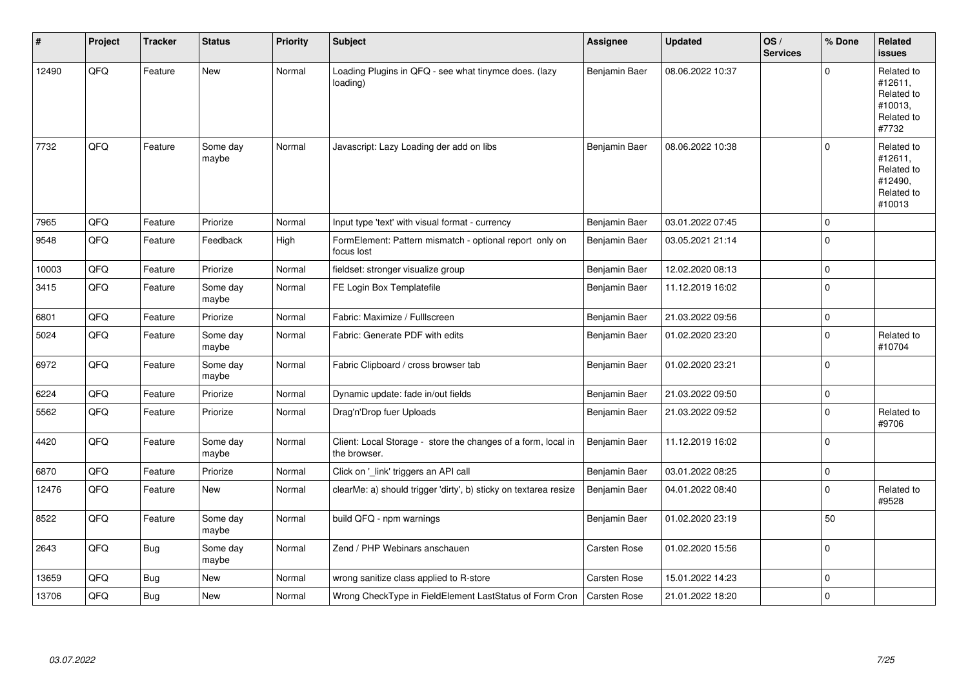| #     | Project | <b>Tracker</b> | <b>Status</b>     | Priority | Subject                                                                       | Assignee            | <b>Updated</b>   | OS/<br><b>Services</b> | % Done      | Related<br>issues                                                      |
|-------|---------|----------------|-------------------|----------|-------------------------------------------------------------------------------|---------------------|------------------|------------------------|-------------|------------------------------------------------------------------------|
| 12490 | QFQ     | Feature        | New               | Normal   | Loading Plugins in QFQ - see what tinymce does. (lazy<br>loading)             | Benjamin Baer       | 08.06.2022 10:37 |                        | U           | Related to<br>#12611,<br>Related to<br>#10013,<br>Related to<br>#7732  |
| 7732  | QFQ     | Feature        | Some day<br>maybe | Normal   | Javascript: Lazy Loading der add on libs                                      | Benjamin Baer       | 08.06.2022 10:38 |                        | $\Omega$    | Related to<br>#12611,<br>Related to<br>#12490,<br>Related to<br>#10013 |
| 7965  | QFQ     | Feature        | Priorize          | Normal   | Input type 'text' with visual format - currency                               | Benjamin Baer       | 03.01.2022 07:45 |                        | $\mathbf 0$ |                                                                        |
| 9548  | QFQ     | Feature        | Feedback          | High     | FormElement: Pattern mismatch - optional report only on<br>focus lost         | Benjamin Baer       | 03.05.2021 21:14 |                        | $\Omega$    |                                                                        |
| 10003 | QFQ     | Feature        | Priorize          | Normal   | fieldset: stronger visualize group                                            | Benjamin Baer       | 12.02.2020 08:13 |                        | $\Omega$    |                                                                        |
| 3415  | QFQ     | Feature        | Some day<br>maybe | Normal   | FE Login Box Templatefile                                                     | Benjamin Baer       | 11.12.2019 16:02 |                        | $\Omega$    |                                                                        |
| 6801  | QFQ     | Feature        | Priorize          | Normal   | Fabric: Maximize / FullIscreen                                                | Benjamin Baer       | 21.03.2022 09:56 |                        | $\Omega$    |                                                                        |
| 5024  | QFQ     | Feature        | Some day<br>maybe | Normal   | Fabric: Generate PDF with edits                                               | Benjamin Baer       | 01.02.2020 23:20 |                        | $\mathbf 0$ | Related to<br>#10704                                                   |
| 6972  | QFQ     | Feature        | Some day<br>maybe | Normal   | Fabric Clipboard / cross browser tab                                          | Benjamin Baer       | 01.02.2020 23:21 |                        | $\Omega$    |                                                                        |
| 6224  | QFQ     | Feature        | Priorize          | Normal   | Dynamic update: fade in/out fields                                            | Benjamin Baer       | 21.03.2022 09:50 |                        | $\Omega$    |                                                                        |
| 5562  | QFQ     | Feature        | Priorize          | Normal   | Drag'n'Drop fuer Uploads                                                      | Benjamin Baer       | 21.03.2022 09:52 |                        | $\mathbf 0$ | Related to<br>#9706                                                    |
| 4420  | QFQ     | Feature        | Some day<br>maybe | Normal   | Client: Local Storage - store the changes of a form, local in<br>the browser. | Benjamin Baer       | 11.12.2019 16:02 |                        | $\Omega$    |                                                                        |
| 6870  | QFQ     | Feature        | Priorize          | Normal   | Click on '_link' triggers an API call                                         | Benjamin Baer       | 03.01.2022 08:25 |                        | $\Omega$    |                                                                        |
| 12476 | QFQ     | Feature        | New               | Normal   | clearMe: a) should trigger 'dirty', b) sticky on textarea resize              | Benjamin Baer       | 04.01.2022 08:40 |                        | $\mathbf 0$ | Related to<br>#9528                                                    |
| 8522  | QFQ     | Feature        | Some day<br>maybe | Normal   | build QFQ - npm warnings                                                      | Benjamin Baer       | 01.02.2020 23:19 |                        | 50          |                                                                        |
| 2643  | QFQ     | Bug            | Some day<br>maybe | Normal   | Zend / PHP Webinars anschauen                                                 | <b>Carsten Rose</b> | 01.02.2020 15:56 |                        | $\mathbf 0$ |                                                                        |
| 13659 | QFQ     | <b>Bug</b>     | New               | Normal   | wrong sanitize class applied to R-store                                       | <b>Carsten Rose</b> | 15.01.2022 14:23 |                        | $\Omega$    |                                                                        |
| 13706 | QFQ     | <b>Bug</b>     | <b>New</b>        | Normal   | Wrong CheckType in FieldElement LastStatus of Form Cron                       | Carsten Rose        | 21.01.2022 18:20 |                        | $\mathbf 0$ |                                                                        |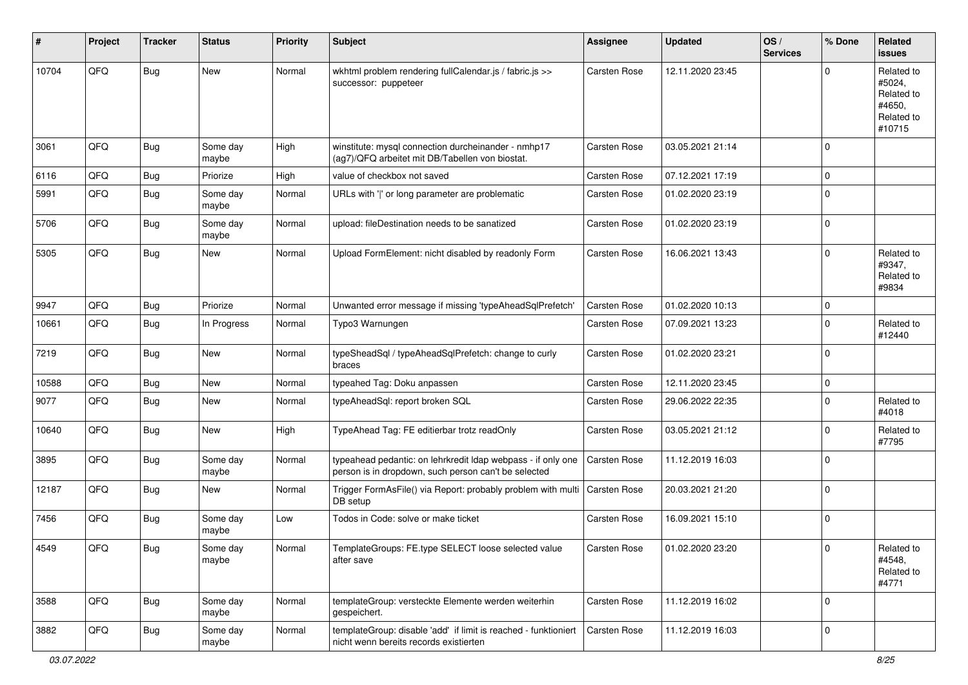| #     | Project | <b>Tracker</b> | <b>Status</b>     | <b>Priority</b> | Subject                                                                                                              | <b>Assignee</b>     | <b>Updated</b>   | OS/<br><b>Services</b> | % Done         | Related<br><b>issues</b>                                             |
|-------|---------|----------------|-------------------|-----------------|----------------------------------------------------------------------------------------------------------------------|---------------------|------------------|------------------------|----------------|----------------------------------------------------------------------|
| 10704 | QFQ     | Bug            | New               | Normal          | wkhtml problem rendering fullCalendar.js / fabric.js >><br>successor: puppeteer                                      | Carsten Rose        | 12.11.2020 23:45 |                        | $\Omega$       | Related to<br>#5024,<br>Related to<br>#4650,<br>Related to<br>#10715 |
| 3061  | QFQ     | Bug            | Some day<br>maybe | High            | winstitute: mysql connection durcheinander - nmhp17<br>(ag7)/QFQ arbeitet mit DB/Tabellen von biostat.               | Carsten Rose        | 03.05.2021 21:14 |                        | $\Omega$       |                                                                      |
| 6116  | QFQ     | <b>Bug</b>     | Priorize          | High            | value of checkbox not saved                                                                                          | Carsten Rose        | 07.12.2021 17:19 |                        | $\mathbf 0$    |                                                                      |
| 5991  | QFQ     | Bug            | Some day<br>maybe | Normal          | URLs with ' ' or long parameter are problematic                                                                      | <b>Carsten Rose</b> | 01.02.2020 23:19 |                        | $\Omega$       |                                                                      |
| 5706  | QFQ     | Bug            | Some day<br>maybe | Normal          | upload: fileDestination needs to be sanatized                                                                        | Carsten Rose        | 01.02.2020 23:19 |                        | 0              |                                                                      |
| 5305  | QFQ     | Bug            | New               | Normal          | Upload FormElement: nicht disabled by readonly Form                                                                  | Carsten Rose        | 16.06.2021 13:43 |                        | $\Omega$       | Related to<br>#9347,<br>Related to<br>#9834                          |
| 9947  | QFQ     | Bug            | Priorize          | Normal          | Unwanted error message if missing 'typeAheadSqlPrefetch'                                                             | <b>Carsten Rose</b> | 01.02.2020 10:13 |                        | $\mathbf 0$    |                                                                      |
| 10661 | QFQ     | <b>Bug</b>     | In Progress       | Normal          | Typo3 Warnungen                                                                                                      | <b>Carsten Rose</b> | 07.09.2021 13:23 |                        | $\Omega$       | Related to<br>#12440                                                 |
| 7219  | QFQ     | <b>Bug</b>     | New               | Normal          | typeSheadSql / typeAheadSqlPrefetch: change to curly<br>braces                                                       | <b>Carsten Rose</b> | 01.02.2020 23:21 |                        | $\Omega$       |                                                                      |
| 10588 | QFQ     | Bug            | <b>New</b>        | Normal          | typeahed Tag: Doku anpassen                                                                                          | Carsten Rose        | 12.11.2020 23:45 |                        | $\mathbf 0$    |                                                                      |
| 9077  | QFQ     | Bug            | New               | Normal          | typeAheadSql: report broken SQL                                                                                      | Carsten Rose        | 29.06.2022 22:35 |                        | $\mathbf 0$    | Related to<br>#4018                                                  |
| 10640 | QFQ     | Bug            | New               | High            | TypeAhead Tag: FE editierbar trotz readOnly                                                                          | Carsten Rose        | 03.05.2021 21:12 |                        | $\mathbf 0$    | Related to<br>#7795                                                  |
| 3895  | QFQ     | Bug            | Some day<br>maybe | Normal          | typeahead pedantic: on lehrkredit Idap webpass - if only one<br>person is in dropdown, such person can't be selected | <b>Carsten Rose</b> | 11.12.2019 16:03 |                        | $\Omega$       |                                                                      |
| 12187 | QFQ     | Bug            | New               | Normal          | Trigger FormAsFile() via Report: probably problem with multi<br>DB setup                                             | <b>Carsten Rose</b> | 20.03.2021 21:20 |                        | $\Omega$       |                                                                      |
| 7456  | QFQ     | Bug            | Some day<br>maybe | Low             | Todos in Code: solve or make ticket                                                                                  | Carsten Rose        | 16.09.2021 15:10 |                        | $\mathbf 0$    |                                                                      |
| 4549  | QFQ     | Bug            | Some day<br>maybe | Normal          | TemplateGroups: FE.type SELECT loose selected value<br>after save                                                    | Carsten Rose        | 01.02.2020 23:20 |                        | $\pmb{0}$      | Related to<br>#4548,<br>Related to<br>#4771                          |
| 3588  | QFQ     | Bug            | Some day<br>maybe | Normal          | templateGroup: versteckte Elemente werden weiterhin<br>gespeichert.                                                  | Carsten Rose        | 11.12.2019 16:02 |                        | $\overline{0}$ |                                                                      |
| 3882  | QFQ     | Bug            | Some day<br>maybe | Normal          | templateGroup: disable 'add' if limit is reached - funktioniert<br>nicht wenn bereits records existierten            | Carsten Rose        | 11.12.2019 16:03 |                        | 0              |                                                                      |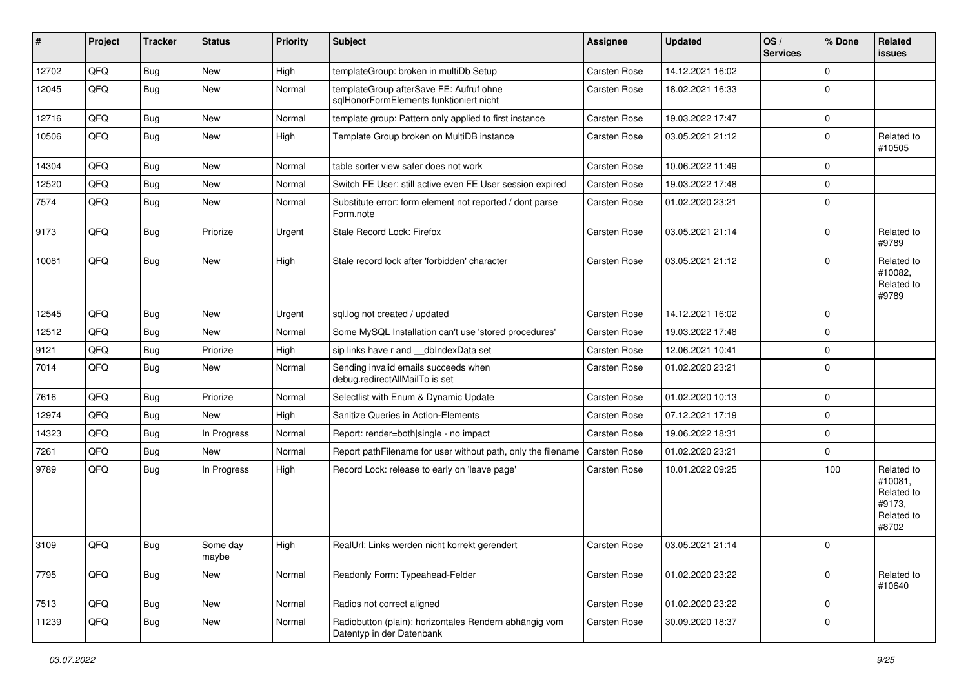| #     | Project | <b>Tracker</b> | <b>Status</b>     | <b>Priority</b> | <b>Subject</b>                                                                      | <b>Assignee</b>     | <b>Updated</b>   | OS/<br><b>Services</b> | % Done      | Related<br>issues                                                    |
|-------|---------|----------------|-------------------|-----------------|-------------------------------------------------------------------------------------|---------------------|------------------|------------------------|-------------|----------------------------------------------------------------------|
| 12702 | QFQ     | Bug            | <b>New</b>        | High            | templateGroup: broken in multiDb Setup                                              | Carsten Rose        | 14.12.2021 16:02 |                        | $\Omega$    |                                                                      |
| 12045 | QFQ     | Bug            | New               | Normal          | templateGroup afterSave FE: Aufruf ohne<br>sqlHonorFormElements funktioniert nicht  | <b>Carsten Rose</b> | 18.02.2021 16:33 |                        | $\Omega$    |                                                                      |
| 12716 | QFQ     | Bug            | <b>New</b>        | Normal          | template group: Pattern only applied to first instance                              | Carsten Rose        | 19.03.2022 17:47 |                        | $\mathbf 0$ |                                                                      |
| 10506 | QFQ     | Bug            | <b>New</b>        | High            | Template Group broken on MultiDB instance                                           | <b>Carsten Rose</b> | 03.05.2021 21:12 |                        | $\Omega$    | Related to<br>#10505                                                 |
| 14304 | QFQ     | Bug            | <b>New</b>        | Normal          | table sorter view safer does not work                                               | <b>Carsten Rose</b> | 10.06.2022 11:49 |                        | $\Omega$    |                                                                      |
| 12520 | QFQ     | Bug            | New               | Normal          | Switch FE User: still active even FE User session expired                           | Carsten Rose        | 19.03.2022 17:48 |                        | 0           |                                                                      |
| 7574  | QFQ     | Bug            | <b>New</b>        | Normal          | Substitute error: form element not reported / dont parse<br>Form.note               | <b>Carsten Rose</b> | 01.02.2020 23:21 |                        | $\Omega$    |                                                                      |
| 9173  | QFQ     | Bug            | Priorize          | Urgent          | Stale Record Lock: Firefox                                                          | Carsten Rose        | 03.05.2021 21:14 |                        | $\Omega$    | Related to<br>#9789                                                  |
| 10081 | QFQ     | Bug            | New               | High            | Stale record lock after 'forbidden' character                                       | <b>Carsten Rose</b> | 03.05.2021 21:12 |                        | $\Omega$    | Related to<br>#10082,<br>Related to<br>#9789                         |
| 12545 | QFQ     | Bug            | <b>New</b>        | Urgent          | sql.log not created / updated                                                       | Carsten Rose        | 14.12.2021 16:02 |                        | $\Omega$    |                                                                      |
| 12512 | QFQ     | Bug            | <b>New</b>        | Normal          | Some MySQL Installation can't use 'stored procedures'                               | Carsten Rose        | 19.03.2022 17:48 |                        | $\mathbf 0$ |                                                                      |
| 9121  | QFQ     | Bug            | Priorize          | High            | sip links have r and __dbIndexData set                                              | Carsten Rose        | 12.06.2021 10:41 |                        | 0           |                                                                      |
| 7014  | QFQ     | Bug            | <b>New</b>        | Normal          | Sending invalid emails succeeds when<br>debug.redirectAllMailTo is set              | <b>Carsten Rose</b> | 01.02.2020 23:21 |                        | $\Omega$    |                                                                      |
| 7616  | QFQ     | Bug            | Priorize          | Normal          | Selectlist with Enum & Dynamic Update                                               | Carsten Rose        | 01.02.2020 10:13 |                        | $\Omega$    |                                                                      |
| 12974 | QFQ     | Bug            | <b>New</b>        | High            | Sanitize Queries in Action-Elements                                                 | Carsten Rose        | 07.12.2021 17:19 |                        | $\mathbf 0$ |                                                                      |
| 14323 | QFQ     | Bug            | In Progress       | Normal          | Report: render=both single - no impact                                              | <b>Carsten Rose</b> | 19.06.2022 18:31 |                        | $\Omega$    |                                                                      |
| 7261  | QFQ     | <b>Bug</b>     | New               | Normal          | Report pathFilename for user without path, only the filename                        | Carsten Rose        | 01.02.2020 23:21 |                        | $\Omega$    |                                                                      |
| 9789  | QFQ     | Bug            | In Progress       | High            | Record Lock: release to early on 'leave page'                                       | <b>Carsten Rose</b> | 10.01.2022 09:25 |                        | 100         | Related to<br>#10081,<br>Related to<br>#9173.<br>Related to<br>#8702 |
| 3109  | QFQ     | Bug            | Some day<br>maybe | High            | RealUrl: Links werden nicht korrekt gerendert                                       | Carsten Rose        | 03.05.2021 21:14 |                        | $\mathbf 0$ |                                                                      |
| 7795  | QFQ     | <b>Bug</b>     | New               | Normal          | Readonly Form: Typeahead-Felder                                                     | <b>Carsten Rose</b> | 01.02.2020 23:22 |                        | $\Omega$    | Related to<br>#10640                                                 |
| 7513  | QFQ     | <b>Bug</b>     | New               | Normal          | Radios not correct aligned                                                          | Carsten Rose        | 01.02.2020 23:22 |                        | $\mathbf 0$ |                                                                      |
| 11239 | QFQ     | <b>Bug</b>     | New               | Normal          | Radiobutton (plain): horizontales Rendern abhängig vom<br>Datentyp in der Datenbank | Carsten Rose        | 30.09.2020 18:37 |                        | $\Omega$    |                                                                      |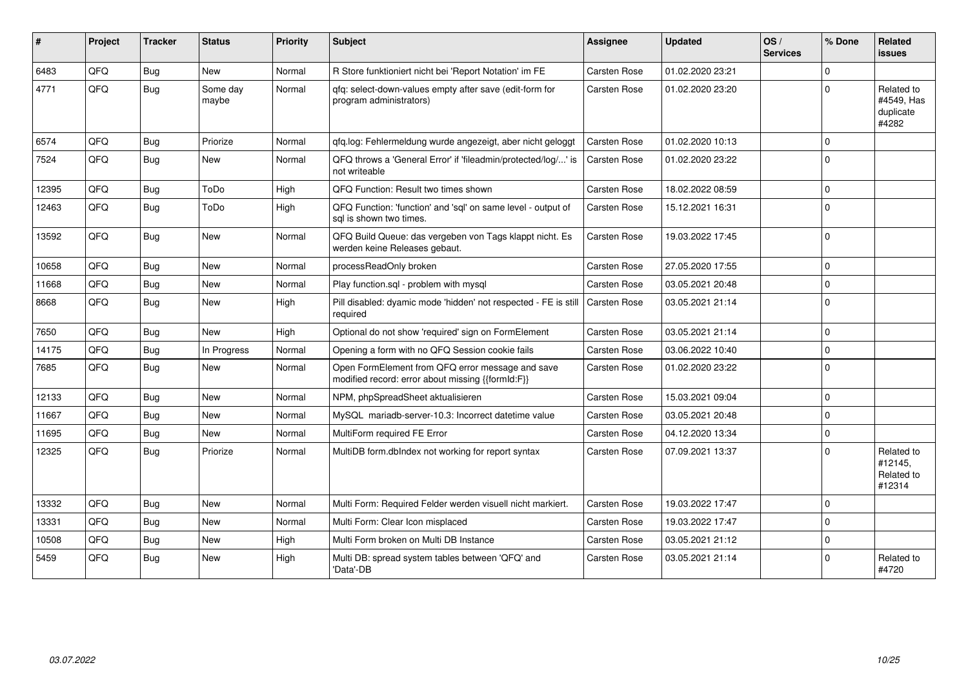| #     | Project | <b>Tracker</b> | <b>Status</b>     | <b>Priority</b> | Subject                                                                                               | <b>Assignee</b>     | <b>Updated</b>   | OS/<br><b>Services</b> | % Done      | Related<br><b>issues</b>                       |
|-------|---------|----------------|-------------------|-----------------|-------------------------------------------------------------------------------------------------------|---------------------|------------------|------------------------|-------------|------------------------------------------------|
| 6483  | QFQ     | <b>Bug</b>     | <b>New</b>        | Normal          | R Store funktioniert nicht bei 'Report Notation' im FE                                                | Carsten Rose        | 01.02.2020 23:21 |                        | $\Omega$    |                                                |
| 4771  | QFQ     | Bug            | Some day<br>maybe | Normal          | qfq: select-down-values empty after save (edit-form for<br>program administrators)                    | <b>Carsten Rose</b> | 01.02.2020 23:20 |                        | $\Omega$    | Related to<br>#4549, Has<br>duplicate<br>#4282 |
| 6574  | QFQ     | <b>Bug</b>     | Priorize          | Normal          | qfq.log: Fehlermeldung wurde angezeigt, aber nicht geloggt                                            | Carsten Rose        | 01.02.2020 10:13 |                        | $\Omega$    |                                                |
| 7524  | QFQ     | <b>Bug</b>     | New               | Normal          | QFQ throws a 'General Error' if 'fileadmin/protected/log/' is<br>not writeable                        | <b>Carsten Rose</b> | 01.02.2020 23:22 |                        | $\Omega$    |                                                |
| 12395 | QFQ     | Bug            | ToDo              | High            | QFQ Function: Result two times shown                                                                  | <b>Carsten Rose</b> | 18.02.2022 08:59 |                        | $\mathbf 0$ |                                                |
| 12463 | QFQ     | <b>Bug</b>     | ToDo              | High            | QFQ Function: 'function' and 'sql' on same level - output of<br>sal is shown two times.               | <b>Carsten Rose</b> | 15.12.2021 16:31 |                        | $\Omega$    |                                                |
| 13592 | QFQ     | Bug            | New               | Normal          | QFQ Build Queue: das vergeben von Tags klappt nicht. Es<br>werden keine Releases gebaut.              | <b>Carsten Rose</b> | 19.03.2022 17:45 |                        | $\Omega$    |                                                |
| 10658 | QFQ     | Bug            | <b>New</b>        | Normal          | processReadOnly broken                                                                                | <b>Carsten Rose</b> | 27.05.2020 17:55 |                        | $\Omega$    |                                                |
| 11668 | QFQ     | <b>Bug</b>     | <b>New</b>        | Normal          | Play function.sgl - problem with mysgl                                                                | <b>Carsten Rose</b> | 03.05.2021 20:48 |                        | $\Omega$    |                                                |
| 8668  | QFQ     | <b>Bug</b>     | <b>New</b>        | High            | Pill disabled: dyamic mode 'hidden' not respected - FE is still<br>required                           | Carsten Rose        | 03.05.2021 21:14 |                        | $\Omega$    |                                                |
| 7650  | QFQ     | <b>Bug</b>     | <b>New</b>        | High            | Optional do not show 'required' sign on FormElement                                                   | Carsten Rose        | 03.05.2021 21:14 |                        | $\Omega$    |                                                |
| 14175 | QFQ     | Bug            | In Progress       | Normal          | Opening a form with no QFQ Session cookie fails                                                       | <b>Carsten Rose</b> | 03.06.2022 10:40 |                        | $\mathbf 0$ |                                                |
| 7685  | QFQ     | <b>Bug</b>     | New               | Normal          | Open FormElement from QFQ error message and save<br>modified record: error about missing {{formId:F}} | <b>Carsten Rose</b> | 01.02.2020 23:22 |                        | $\Omega$    |                                                |
| 12133 | QFQ     | <b>Bug</b>     | <b>New</b>        | Normal          | NPM, phpSpreadSheet aktualisieren                                                                     | <b>Carsten Rose</b> | 15.03.2021 09:04 |                        | $\Omega$    |                                                |
| 11667 | QFQ     | <b>Bug</b>     | <b>New</b>        | Normal          | MySQL mariadb-server-10.3: Incorrect datetime value                                                   | <b>Carsten Rose</b> | 03.05.2021 20:48 |                        | $\Omega$    |                                                |
| 11695 | QFQ     | <b>Bug</b>     | <b>New</b>        | Normal          | MultiForm required FE Error                                                                           | <b>Carsten Rose</b> | 04.12.2020 13:34 |                        | $\Omega$    |                                                |
| 12325 | QFQ     | <b>Bug</b>     | Priorize          | Normal          | MultiDB form.dblndex not working for report syntax                                                    | <b>Carsten Rose</b> | 07.09.2021 13:37 |                        | $\Omega$    | Related to<br>#12145,<br>Related to<br>#12314  |
| 13332 | QFQ     | <b>Bug</b>     | <b>New</b>        | Normal          | Multi Form: Required Felder werden visuell nicht markiert.                                            | Carsten Rose        | 19.03.2022 17:47 |                        | $\Omega$    |                                                |
| 13331 | QFQ     | Bug            | <b>New</b>        | Normal          | Multi Form: Clear Icon misplaced                                                                      | <b>Carsten Rose</b> | 19.03.2022 17:47 |                        | $\Omega$    |                                                |
| 10508 | QFQ     | Bug            | <b>New</b>        | High            | Multi Form broken on Multi DB Instance                                                                | <b>Carsten Rose</b> | 03.05.2021 21:12 |                        | $\mathbf 0$ |                                                |
| 5459  | QFQ     | <b>Bug</b>     | <b>New</b>        | High            | Multi DB: spread system tables between 'QFQ' and<br>'Data'-DB                                         | <b>Carsten Rose</b> | 03.05.2021 21:14 |                        | $\Omega$    | Related to<br>#4720                            |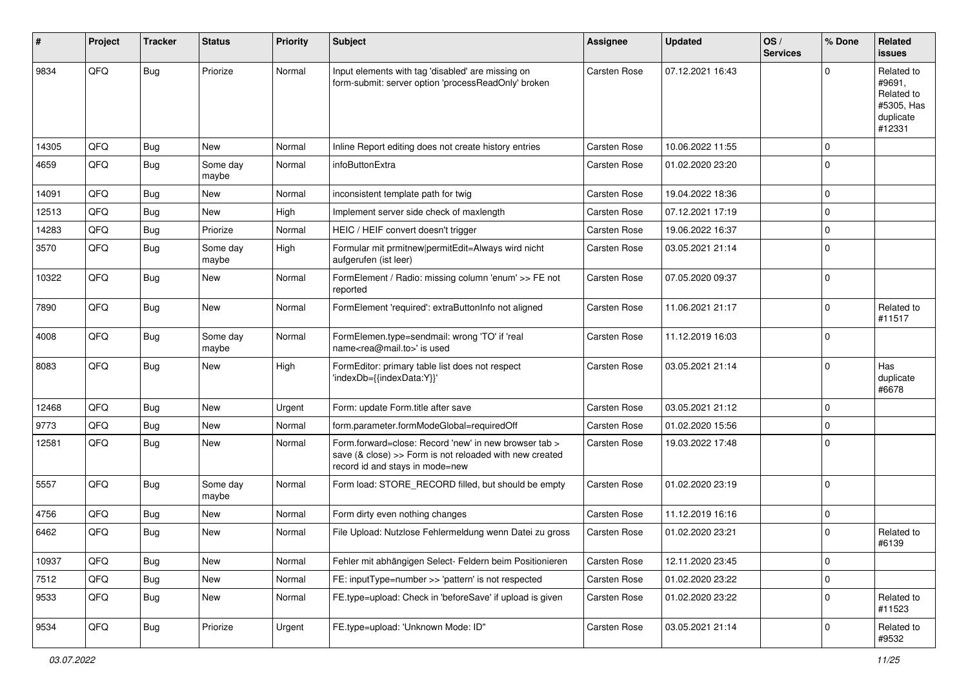| #     | Project | <b>Tracker</b> | <b>Status</b>     | <b>Priority</b> | <b>Subject</b>                                                                                                                                      | Assignee            | <b>Updated</b>   | OS/<br><b>Services</b> | % Done      | Related<br><b>issues</b>                                                |
|-------|---------|----------------|-------------------|-----------------|-----------------------------------------------------------------------------------------------------------------------------------------------------|---------------------|------------------|------------------------|-------------|-------------------------------------------------------------------------|
| 9834  | QFQ     | <b>Bug</b>     | Priorize          | Normal          | Input elements with tag 'disabled' are missing on<br>form-submit: server option 'processReadOnly' broken                                            | <b>Carsten Rose</b> | 07.12.2021 16:43 |                        | U           | Related to<br>#9691,<br>Related to<br>#5305, Has<br>duplicate<br>#12331 |
| 14305 | QFQ     | <b>Bug</b>     | <b>New</b>        | Normal          | Inline Report editing does not create history entries                                                                                               | Carsten Rose        | 10.06.2022 11:55 |                        | $\Omega$    |                                                                         |
| 4659  | QFQ     | Bug            | Some day<br>maybe | Normal          | infoButtonExtra                                                                                                                                     | <b>Carsten Rose</b> | 01.02.2020 23:20 |                        | $\Omega$    |                                                                         |
| 14091 | QFQ     | Bug            | <b>New</b>        | Normal          | inconsistent template path for twig                                                                                                                 | <b>Carsten Rose</b> | 19.04.2022 18:36 |                        | $\Omega$    |                                                                         |
| 12513 | QFQ     | Bug            | New               | High            | Implement server side check of maxlength                                                                                                            | <b>Carsten Rose</b> | 07.12.2021 17:19 |                        | 0           |                                                                         |
| 14283 | QFQ     | <b>Bug</b>     | Priorize          | Normal          | HEIC / HEIF convert doesn't trigger                                                                                                                 | Carsten Rose        | 19.06.2022 16:37 |                        | $\Omega$    |                                                                         |
| 3570  | QFQ     | Bug            | Some day<br>maybe | High            | Formular mit prmitnew permitEdit=Always wird nicht<br>aufgerufen (ist leer)                                                                         | Carsten Rose        | 03.05.2021 21:14 |                        | $\Omega$    |                                                                         |
| 10322 | QFQ     | Bug            | New               | Normal          | FormElement / Radio: missing column 'enum' >> FE not<br>reported                                                                                    | Carsten Rose        | 07.05.2020 09:37 |                        | $\mathbf 0$ |                                                                         |
| 7890  | QFQ     | <b>Bug</b>     | <b>New</b>        | Normal          | FormElement 'required': extraButtonInfo not aligned                                                                                                 | <b>Carsten Rose</b> | 11.06.2021 21:17 |                        | $\Omega$    | Related to<br>#11517                                                    |
| 4008  | QFQ     | <b>Bug</b>     | Some day<br>maybe | Normal          | FormElemen.type=sendmail: wrong 'TO' if 'real<br>name <rea@mail.to>' is used</rea@mail.to>                                                          | <b>Carsten Rose</b> | 11.12.2019 16:03 |                        | $\Omega$    |                                                                         |
| 8083  | QFQ     | Bug            | <b>New</b>        | High            | FormEditor: primary table list does not respect<br>'indexDb={{indexData:Y}}'                                                                        | <b>Carsten Rose</b> | 03.05.2021 21:14 |                        | $\Omega$    | Has<br>duplicate<br>#6678                                               |
| 12468 | QFQ     | Bug            | <b>New</b>        | Urgent          | Form: update Form.title after save                                                                                                                  | Carsten Rose        | 03.05.2021 21:12 |                        | $\mathbf 0$ |                                                                         |
| 9773  | QFQ     | <b>Bug</b>     | New               | Normal          | form.parameter.formModeGlobal=requiredOff                                                                                                           | Carsten Rose        | 01.02.2020 15:56 |                        | 0           |                                                                         |
| 12581 | QFQ     | <b>Bug</b>     | New               | Normal          | Form.forward=close: Record 'new' in new browser tab ><br>save (& close) >> Form is not reloaded with new created<br>record id and stays in mode=new | <b>Carsten Rose</b> | 19.03.2022 17:48 |                        | $\mathbf 0$ |                                                                         |
| 5557  | QFQ     | Bug            | Some day<br>maybe | Normal          | Form load: STORE_RECORD filled, but should be empty                                                                                                 | Carsten Rose        | 01.02.2020 23:19 |                        | $\mathbf 0$ |                                                                         |
| 4756  | QFQ     | Bug            | <b>New</b>        | Normal          | Form dirty even nothing changes                                                                                                                     | Carsten Rose        | 11.12.2019 16:16 |                        | $\mathbf 0$ |                                                                         |
| 6462  | QFQ     | Bug            | <b>New</b>        | Normal          | File Upload: Nutzlose Fehlermeldung wenn Datei zu gross                                                                                             | <b>Carsten Rose</b> | 01.02.2020 23:21 |                        | $\Omega$    | Related to<br>#6139                                                     |
| 10937 | QFQ     | Bug            | New               | Normal          | Fehler mit abhängigen Select- Feldern beim Positionieren                                                                                            | Carsten Rose        | 12.11.2020 23:45 |                        | $\mathbf 0$ |                                                                         |
| 7512  | QFQ     | <b>Bug</b>     | New               | Normal          | FE: inputType=number >> 'pattern' is not respected                                                                                                  | Carsten Rose        | 01.02.2020 23:22 |                        | 0           |                                                                         |
| 9533  | QFQ     | <b>Bug</b>     | New               | Normal          | FE.type=upload: Check in 'beforeSave' if upload is given                                                                                            | Carsten Rose        | 01.02.2020 23:22 |                        | $\mathbf 0$ | Related to<br>#11523                                                    |
| 9534  | QFQ     | <b>Bug</b>     | Priorize          | Urgent          | FE.type=upload: 'Unknown Mode: ID"                                                                                                                  | Carsten Rose        | 03.05.2021 21:14 |                        | 0           | Related to<br>#9532                                                     |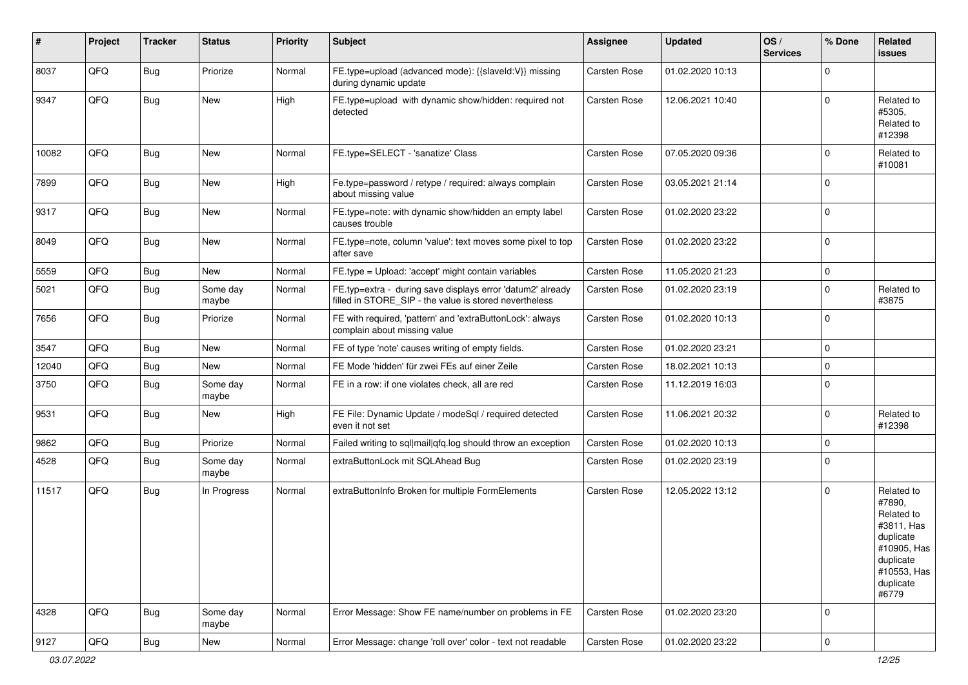| #     | Project | <b>Tracker</b> | <b>Status</b>     | <b>Priority</b> | Subject                                                                                                              | <b>Assignee</b>     | <b>Updated</b>   | OS/<br><b>Services</b> | % Done      | Related<br>issues                                                                                                              |
|-------|---------|----------------|-------------------|-----------------|----------------------------------------------------------------------------------------------------------------------|---------------------|------------------|------------------------|-------------|--------------------------------------------------------------------------------------------------------------------------------|
| 8037  | QFQ     | Bug            | Priorize          | Normal          | FE.type=upload (advanced mode): {{slaveId:V}} missing<br>during dynamic update                                       | Carsten Rose        | 01.02.2020 10:13 |                        | $\Omega$    |                                                                                                                                |
| 9347  | QFQ     | Bug            | New               | High            | FE.type=upload with dynamic show/hidden: required not<br>detected                                                    | Carsten Rose        | 12.06.2021 10:40 |                        | $\Omega$    | Related to<br>#5305,<br>Related to<br>#12398                                                                                   |
| 10082 | QFQ     | Bug            | New               | Normal          | FE.type=SELECT - 'sanatize' Class                                                                                    | Carsten Rose        | 07.05.2020 09:36 |                        | $\Omega$    | Related to<br>#10081                                                                                                           |
| 7899  | QFQ     | Bug            | New               | High            | Fe.type=password / retype / required: always complain<br>about missing value                                         | Carsten Rose        | 03.05.2021 21:14 |                        | $\mathbf 0$ |                                                                                                                                |
| 9317  | QFQ     | Bug            | New               | Normal          | FE.type=note: with dynamic show/hidden an empty label<br>causes trouble                                              | <b>Carsten Rose</b> | 01.02.2020 23:22 |                        | $\Omega$    |                                                                                                                                |
| 8049  | QFQ     | Bug            | New               | Normal          | FE.type=note, column 'value': text moves some pixel to top<br>after save                                             | Carsten Rose        | 01.02.2020 23:22 |                        | $\mathbf 0$ |                                                                                                                                |
| 5559  | QFQ     | <b>Bug</b>     | New               | Normal          | FE.type = Upload: 'accept' might contain variables                                                                   | <b>Carsten Rose</b> | 11.05.2020 21:23 |                        | $\mathbf 0$ |                                                                                                                                |
| 5021  | QFQ     | <b>Bug</b>     | Some day<br>maybe | Normal          | FE.typ=extra - during save displays error 'datum2' already<br>filled in STORE_SIP - the value is stored nevertheless | <b>Carsten Rose</b> | 01.02.2020 23:19 |                        | $\mathbf 0$ | Related to<br>#3875                                                                                                            |
| 7656  | QFQ     | Bug            | Priorize          | Normal          | FE with required, 'pattern' and 'extraButtonLock': always<br>complain about missing value                            | Carsten Rose        | 01.02.2020 10:13 |                        | $\Omega$    |                                                                                                                                |
| 3547  | QFQ     | Bug            | New               | Normal          | FE of type 'note' causes writing of empty fields.                                                                    | Carsten Rose        | 01.02.2020 23:21 |                        | $\mathbf 0$ |                                                                                                                                |
| 12040 | QFQ     | Bug            | New               | Normal          | FE Mode 'hidden' für zwei FEs auf einer Zeile                                                                        | Carsten Rose        | 18.02.2021 10:13 |                        | $\mathbf 0$ |                                                                                                                                |
| 3750  | QFQ     | Bug            | Some day<br>maybe | Normal          | FE in a row: if one violates check, all are red                                                                      | Carsten Rose        | 11.12.2019 16:03 |                        | $\Omega$    |                                                                                                                                |
| 9531  | QFQ     | Bug            | New               | High            | FE File: Dynamic Update / modeSql / required detected<br>even it not set                                             | Carsten Rose        | 11.06.2021 20:32 |                        | $\mathbf 0$ | Related to<br>#12398                                                                                                           |
| 9862  | QFQ     | Bug            | Priorize          | Normal          | Failed writing to sql mail qfq.log should throw an exception                                                         | <b>Carsten Rose</b> | 01.02.2020 10:13 |                        | $\Omega$    |                                                                                                                                |
| 4528  | QFQ     | <b>Bug</b>     | Some day<br>maybe | Normal          | extraButtonLock mit SQLAhead Bug                                                                                     | <b>Carsten Rose</b> | 01.02.2020 23:19 |                        | $\Omega$    |                                                                                                                                |
| 11517 | QFQ     | <b>Bug</b>     | In Progress       | Normal          | extraButtonInfo Broken for multiple FormElements                                                                     | <b>Carsten Rose</b> | 12.05.2022 13:12 |                        | $\Omega$    | Related to<br>#7890,<br>Related to<br>#3811, Has<br>duplicate<br>#10905, Has<br>duplicate<br>#10553, Has<br>duplicate<br>#6779 |
| 4328  | QFQ     | <b>Bug</b>     | Some day<br>maybe | Normal          | Error Message: Show FE name/number on problems in FE                                                                 | Carsten Rose        | 01.02.2020 23:20 |                        | 0           |                                                                                                                                |
| 9127  | QFQ     | <b>Bug</b>     | New               | Normal          | Error Message: change 'roll over' color - text not readable                                                          | Carsten Rose        | 01.02.2020 23:22 |                        | 0           |                                                                                                                                |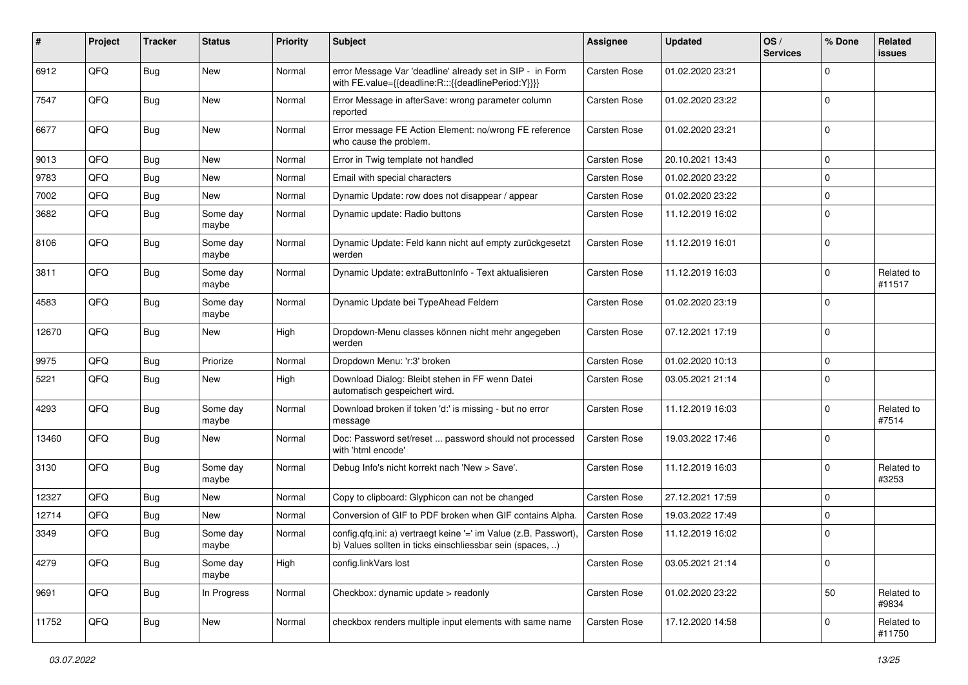| #     | Project | <b>Tracker</b> | <b>Status</b>     | <b>Priority</b> | Subject                                                                                                                       | <b>Assignee</b>     | <b>Updated</b>   | OS/<br><b>Services</b> | % Done      | Related<br>issues    |
|-------|---------|----------------|-------------------|-----------------|-------------------------------------------------------------------------------------------------------------------------------|---------------------|------------------|------------------------|-------------|----------------------|
| 6912  | QFQ     | <b>Bug</b>     | New               | Normal          | error Message Var 'deadline' already set in SIP - in Form<br>with FE.value={{deadline:R:::{{deadlinePeriod:Y}}}}              | <b>Carsten Rose</b> | 01.02.2020 23:21 |                        | $\Omega$    |                      |
| 7547  | QFQ     | <b>Bug</b>     | <b>New</b>        | Normal          | Error Message in afterSave: wrong parameter column<br>reported                                                                | <b>Carsten Rose</b> | 01.02.2020 23:22 |                        | $\Omega$    |                      |
| 6677  | QFQ     | <b>Bug</b>     | New               | Normal          | Error message FE Action Element: no/wrong FE reference<br>who cause the problem.                                              | <b>Carsten Rose</b> | 01.02.2020 23:21 |                        | $\Omega$    |                      |
| 9013  | QFQ     | <b>Bug</b>     | <b>New</b>        | Normal          | Error in Twig template not handled                                                                                            | <b>Carsten Rose</b> | 20.10.2021 13:43 |                        | 0           |                      |
| 9783  | QFQ     | <b>Bug</b>     | <b>New</b>        | Normal          | Email with special characters                                                                                                 | <b>Carsten Rose</b> | 01.02.2020 23:22 |                        | $\Omega$    |                      |
| 7002  | QFQ     | <b>Bug</b>     | <b>New</b>        | Normal          | Dynamic Update: row does not disappear / appear                                                                               | <b>Carsten Rose</b> | 01.02.2020 23:22 |                        | $\mathbf 0$ |                      |
| 3682  | QFQ     | <b>Bug</b>     | Some day<br>maybe | Normal          | Dynamic update: Radio buttons                                                                                                 | <b>Carsten Rose</b> | 11.12.2019 16:02 |                        | $\Omega$    |                      |
| 8106  | QFQ     | <b>Bug</b>     | Some day<br>maybe | Normal          | Dynamic Update: Feld kann nicht auf empty zurückgesetzt<br>werden                                                             | <b>Carsten Rose</b> | 11.12.2019 16:01 |                        | $\Omega$    |                      |
| 3811  | QFQ     | <b>Bug</b>     | Some day<br>maybe | Normal          | Dynamic Update: extraButtonInfo - Text aktualisieren                                                                          | <b>Carsten Rose</b> | 11.12.2019 16:03 |                        | $\Omega$    | Related to<br>#11517 |
| 4583  | QFQ     | <b>Bug</b>     | Some day<br>maybe | Normal          | Dynamic Update bei TypeAhead Feldern                                                                                          | Carsten Rose        | 01.02.2020 23:19 |                        | $\Omega$    |                      |
| 12670 | QFQ     | Bug            | New               | High            | Dropdown-Menu classes können nicht mehr angegeben<br>werden                                                                   | <b>Carsten Rose</b> | 07.12.2021 17:19 |                        | 0           |                      |
| 9975  | QFQ     | <b>Bug</b>     | Priorize          | Normal          | Dropdown Menu: 'r:3' broken                                                                                                   | <b>Carsten Rose</b> | 01.02.2020 10:13 |                        | $\mathbf 0$ |                      |
| 5221  | QFQ     | <b>Bug</b>     | New               | High            | Download Dialog: Bleibt stehen in FF wenn Datei<br>automatisch gespeichert wird.                                              | <b>Carsten Rose</b> | 03.05.2021 21:14 |                        | $\Omega$    |                      |
| 4293  | QFQ     | <b>Bug</b>     | Some day<br>maybe | Normal          | Download broken if token 'd:' is missing - but no error<br>message                                                            | <b>Carsten Rose</b> | 11.12.2019 16:03 |                        | $\Omega$    | Related to<br>#7514  |
| 13460 | QFQ     | Bug            | New               | Normal          | Doc: Password set/reset  password should not processed<br>with 'html encode'                                                  | <b>Carsten Rose</b> | 19.03.2022 17:46 |                        | $\Omega$    |                      |
| 3130  | QFQ     | <b>Bug</b>     | Some day<br>maybe | Normal          | Debug Info's nicht korrekt nach 'New > Save'.                                                                                 | Carsten Rose        | 11.12.2019 16:03 |                        | $\Omega$    | Related to<br>#3253  |
| 12327 | QFQ     | Bug            | <b>New</b>        | Normal          | Copy to clipboard: Glyphicon can not be changed                                                                               | <b>Carsten Rose</b> | 27.12.2021 17:59 |                        | $\mathbf 0$ |                      |
| 12714 | QFQ     | <b>Bug</b>     | <b>New</b>        | Normal          | Conversion of GIF to PDF broken when GIF contains Alpha.                                                                      | <b>Carsten Rose</b> | 19.03.2022 17:49 |                        | $\Omega$    |                      |
| 3349  | QFQ     | <b>Bug</b>     | Some day<br>maybe | Normal          | config.qfq.ini: a) vertraegt keine '=' im Value (z.B. Passwort),<br>b) Values sollten in ticks einschliessbar sein (spaces, ) | <b>Carsten Rose</b> | 11.12.2019 16:02 |                        | $\mathbf 0$ |                      |
| 4279  | QFQ     | Bug            | Some day<br>maybe | High            | config.linkVars lost                                                                                                          | Carsten Rose        | 03.05.2021 21:14 |                        | 0           |                      |
| 9691  | QFQ     | <b>Bug</b>     | In Progress       | Normal          | Checkbox: dynamic update > readonly                                                                                           | <b>Carsten Rose</b> | 01.02.2020 23:22 |                        | 50          | Related to<br>#9834  |
| 11752 | QFQ     | <b>Bug</b>     | New               | Normal          | checkbox renders multiple input elements with same name                                                                       | Carsten Rose        | 17.12.2020 14:58 |                        | 0           | Related to<br>#11750 |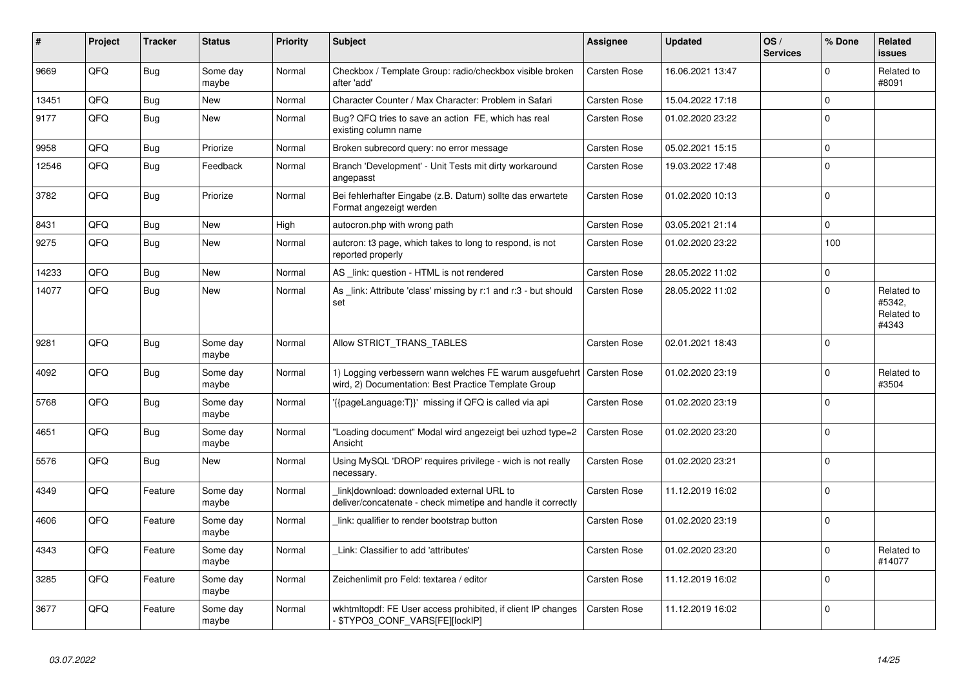| #     | Project | <b>Tracker</b> | <b>Status</b>     | <b>Priority</b> | <b>Subject</b>                                                                                                                 | <b>Assignee</b>     | <b>Updated</b>   | OS/<br><b>Services</b> | % Done         | Related<br>issues                           |
|-------|---------|----------------|-------------------|-----------------|--------------------------------------------------------------------------------------------------------------------------------|---------------------|------------------|------------------------|----------------|---------------------------------------------|
| 9669  | QFQ     | <b>Bug</b>     | Some day<br>maybe | Normal          | Checkbox / Template Group: radio/checkbox visible broken<br>after 'add'                                                        | <b>Carsten Rose</b> | 16.06.2021 13:47 |                        | $\Omega$       | Related to<br>#8091                         |
| 13451 | QFQ     | <b>Bug</b>     | <b>New</b>        | Normal          | Character Counter / Max Character: Problem in Safari                                                                           | <b>Carsten Rose</b> | 15.04.2022 17:18 |                        | $\mathbf{0}$   |                                             |
| 9177  | QFQ     | Bug            | New               | Normal          | Bug? QFQ tries to save an action FE, which has real<br>existing column name                                                    | <b>Carsten Rose</b> | 01.02.2020 23:22 |                        | $\Omega$       |                                             |
| 9958  | QFQ     | <b>Bug</b>     | Priorize          | Normal          | Broken subrecord query: no error message                                                                                       | <b>Carsten Rose</b> | 05.02.2021 15:15 |                        | $\Omega$       |                                             |
| 12546 | QFQ     | <b>Bug</b>     | Feedback          | Normal          | Branch 'Development' - Unit Tests mit dirty workaround<br>angepasst                                                            | <b>Carsten Rose</b> | 19.03.2022 17:48 |                        | $\overline{0}$ |                                             |
| 3782  | QFQ     | <b>Bug</b>     | Priorize          | Normal          | Bei fehlerhafter Eingabe (z.B. Datum) sollte das erwartete<br>Format angezeigt werden                                          | <b>Carsten Rose</b> | 01.02.2020 10:13 |                        | $\overline{0}$ |                                             |
| 8431  | QFQ     | Bug            | <b>New</b>        | High            | autocron.php with wrong path                                                                                                   | <b>Carsten Rose</b> | 03.05.2021 21:14 |                        | $\mathbf 0$    |                                             |
| 9275  | QFQ     | Bug            | <b>New</b>        | Normal          | autcron: t3 page, which takes to long to respond, is not<br>reported properly                                                  | Carsten Rose        | 01.02.2020 23:22 |                        | 100            |                                             |
| 14233 | QFQ     | Bug            | <b>New</b>        | Normal          | AS link: question - HTML is not rendered                                                                                       | <b>Carsten Rose</b> | 28.05.2022 11:02 |                        | $\Omega$       |                                             |
| 14077 | QFQ     | Bug            | <b>New</b>        | Normal          | As _link: Attribute 'class' missing by r:1 and r:3 - but should<br>set                                                         | <b>Carsten Rose</b> | 28.05.2022 11:02 |                        | $\Omega$       | Related to<br>#5342.<br>Related to<br>#4343 |
| 9281  | QFQ     | Bug            | Some day<br>maybe | Normal          | Allow STRICT_TRANS_TABLES                                                                                                      | <b>Carsten Rose</b> | 02.01.2021 18:43 |                        | $\Omega$       |                                             |
| 4092  | QFQ     | Bug            | Some day<br>maybe | Normal          | 1) Logging verbessern wann welches FE warum ausgefuehrt   Carsten Rose<br>wird, 2) Documentation: Best Practice Template Group |                     | 01.02.2020 23:19 |                        | $\Omega$       | Related to<br>#3504                         |
| 5768  | QFQ     | Bug            | Some day<br>maybe | Normal          | '{{pageLanguage:T}}' missing if QFQ is called via api                                                                          | <b>Carsten Rose</b> | 01.02.2020 23:19 |                        | $\overline{0}$ |                                             |
| 4651  | QFQ     | Bug            | Some day<br>maybe | Normal          | "Loading document" Modal wird angezeigt bei uzhcd type=2<br>Ansicht                                                            | <b>Carsten Rose</b> | 01.02.2020 23:20 |                        | $\overline{0}$ |                                             |
| 5576  | QFQ     | <b>Bug</b>     | New               | Normal          | Using MySQL 'DROP' requires privilege - wich is not really<br>necessary.                                                       | <b>Carsten Rose</b> | 01.02.2020 23:21 |                        | $\overline{0}$ |                                             |
| 4349  | QFQ     | Feature        | Some day<br>maybe | Normal          | link download: downloaded external URL to<br>deliver/concatenate - check mimetipe and handle it correctly                      | <b>Carsten Rose</b> | 11.12.2019 16:02 |                        | $\overline{0}$ |                                             |
| 4606  | QFQ     | Feature        | Some day<br>maybe | Normal          | link: qualifier to render bootstrap button                                                                                     | <b>Carsten Rose</b> | 01.02.2020 23:19 |                        | $\Omega$       |                                             |
| 4343  | QFQ     | Feature        | Some day<br>maybe | Normal          | Link: Classifier to add 'attributes'                                                                                           | <b>Carsten Rose</b> | 01.02.2020 23:20 |                        | $\Omega$       | Related to<br>#14077                        |
| 3285  | QFQ     | Feature        | Some day<br>maybe | Normal          | Zeichenlimit pro Feld: textarea / editor                                                                                       | <b>Carsten Rose</b> | 11.12.2019 16:02 |                        | $\Omega$       |                                             |
| 3677  | QFQ     | Feature        | Some day<br>maybe | Normal          | wkhtmltopdf: FE User access prohibited, if client IP changes<br>- \$TYPO3_CONF_VARS[FE][lockIP]                                | <b>Carsten Rose</b> | 11.12.2019 16:02 |                        | $\Omega$       |                                             |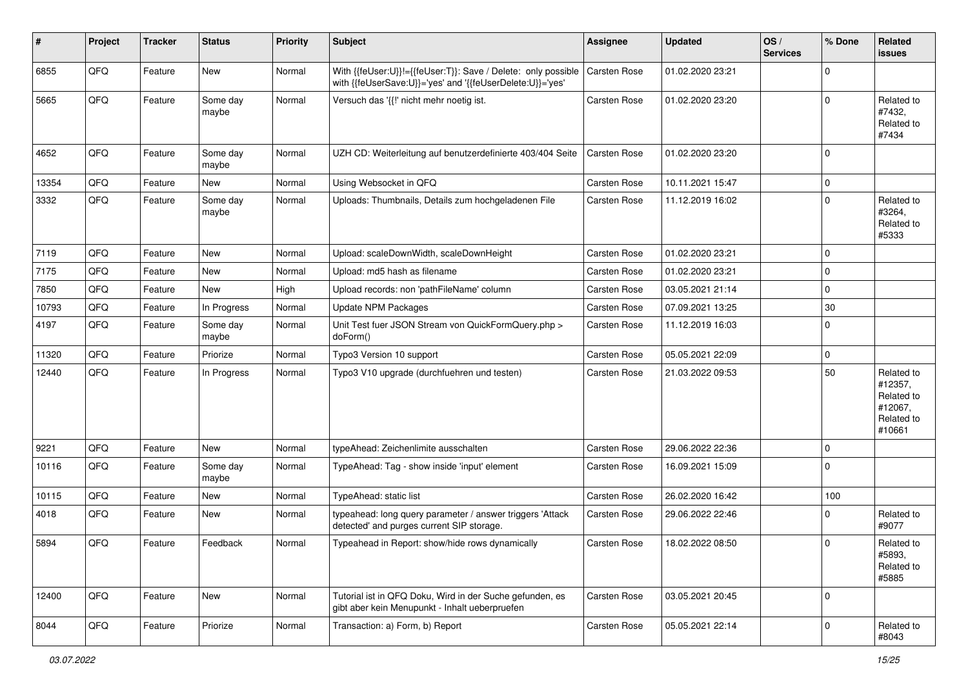| #     | Project | <b>Tracker</b> | <b>Status</b>     | <b>Priority</b> | <b>Subject</b>                                                                                                             | <b>Assignee</b>     | <b>Updated</b>   | OS/<br><b>Services</b> | % Done      | Related<br>issues                                                      |
|-------|---------|----------------|-------------------|-----------------|----------------------------------------------------------------------------------------------------------------------------|---------------------|------------------|------------------------|-------------|------------------------------------------------------------------------|
| 6855  | QFQ     | Feature        | New               | Normal          | With {{feUser:U}}!={{feUser:T}}: Save / Delete: only possible<br>with {{feUserSave:U}}='yes' and '{{feUserDelete:U}}='yes' | Carsten Rose        | 01.02.2020 23:21 |                        | $\Omega$    |                                                                        |
| 5665  | QFQ     | Feature        | Some day<br>maybe | Normal          | Versuch das '{{!' nicht mehr noetig ist.                                                                                   | Carsten Rose        | 01.02.2020 23:20 |                        | $\mathbf 0$ | Related to<br>#7432,<br>Related to<br>#7434                            |
| 4652  | QFQ     | Feature        | Some day<br>maybe | Normal          | UZH CD: Weiterleitung auf benutzerdefinierte 403/404 Seite                                                                 | Carsten Rose        | 01.02.2020 23:20 |                        | $\Omega$    |                                                                        |
| 13354 | QFQ     | Feature        | <b>New</b>        | Normal          | Using Websocket in QFQ                                                                                                     | Carsten Rose        | 10.11.2021 15:47 |                        | 0           |                                                                        |
| 3332  | QFQ     | Feature        | Some day<br>maybe | Normal          | Uploads: Thumbnails, Details zum hochgeladenen File                                                                        | Carsten Rose        | 11.12.2019 16:02 |                        | $\mathbf 0$ | Related to<br>#3264,<br>Related to<br>#5333                            |
| 7119  | QFQ     | Feature        | <b>New</b>        | Normal          | Upload: scaleDownWidth, scaleDownHeight                                                                                    | Carsten Rose        | 01.02.2020 23:21 |                        | $\mathbf 0$ |                                                                        |
| 7175  | QFQ     | Feature        | <b>New</b>        | Normal          | Upload: md5 hash as filename                                                                                               | Carsten Rose        | 01.02.2020 23:21 |                        | $\mathbf 0$ |                                                                        |
| 7850  | QFQ     | Feature        | New               | High            | Upload records: non 'pathFileName' column                                                                                  | Carsten Rose        | 03.05.2021 21:14 |                        | $\mathbf 0$ |                                                                        |
| 10793 | QFQ     | Feature        | In Progress       | Normal          | Update NPM Packages                                                                                                        | Carsten Rose        | 07.09.2021 13:25 |                        | 30          |                                                                        |
| 4197  | QFQ     | Feature        | Some day<br>maybe | Normal          | Unit Test fuer JSON Stream von QuickFormQuery.php ><br>doForm()                                                            | Carsten Rose        | 11.12.2019 16:03 |                        | 0           |                                                                        |
| 11320 | QFQ     | Feature        | Priorize          | Normal          | Typo3 Version 10 support                                                                                                   | Carsten Rose        | 05.05.2021 22:09 |                        | $\mathbf 0$ |                                                                        |
| 12440 | QFQ     | Feature        | In Progress       | Normal          | Typo3 V10 upgrade (durchfuehren und testen)                                                                                | Carsten Rose        | 21.03.2022 09:53 |                        | 50          | Related to<br>#12357,<br>Related to<br>#12067,<br>Related to<br>#10661 |
| 9221  | QFQ     | Feature        | New               | Normal          | typeAhead: Zeichenlimite ausschalten                                                                                       | Carsten Rose        | 29.06.2022 22:36 |                        | 0           |                                                                        |
| 10116 | QFQ     | Feature        | Some day<br>maybe | Normal          | TypeAhead: Tag - show inside 'input' element                                                                               | Carsten Rose        | 16.09.2021 15:09 |                        | $\mathbf 0$ |                                                                        |
| 10115 | QFQ     | Feature        | New               | Normal          | TypeAhead: static list                                                                                                     | <b>Carsten Rose</b> | 26.02.2020 16:42 |                        | 100         |                                                                        |
| 4018  | QFQ     | Feature        | New               | Normal          | typeahead: long query parameter / answer triggers 'Attack<br>detected' and purges current SIP storage.                     | Carsten Rose        | 29.06.2022 22:46 |                        | $\mathbf 0$ | Related to<br>#9077                                                    |
| 5894  | QFQ     | Feature        | Feedback          | Normal          | Typeahead in Report: show/hide rows dynamically                                                                            | Carsten Rose        | 18.02.2022 08:50 |                        | $\Omega$    | Related to<br>#5893,<br>Related to<br>#5885                            |
| 12400 | QFQ     | Feature        | New               | Normal          | Tutorial ist in QFQ Doku, Wird in der Suche gefunden, es<br>gibt aber kein Menupunkt - Inhalt ueberpruefen                 | Carsten Rose        | 03.05.2021 20:45 |                        | $\mathbf 0$ |                                                                        |
| 8044  | QFQ     | Feature        | Priorize          | Normal          | Transaction: a) Form, b) Report                                                                                            | Carsten Rose        | 05.05.2021 22:14 |                        | $\mathbf 0$ | Related to<br>#8043                                                    |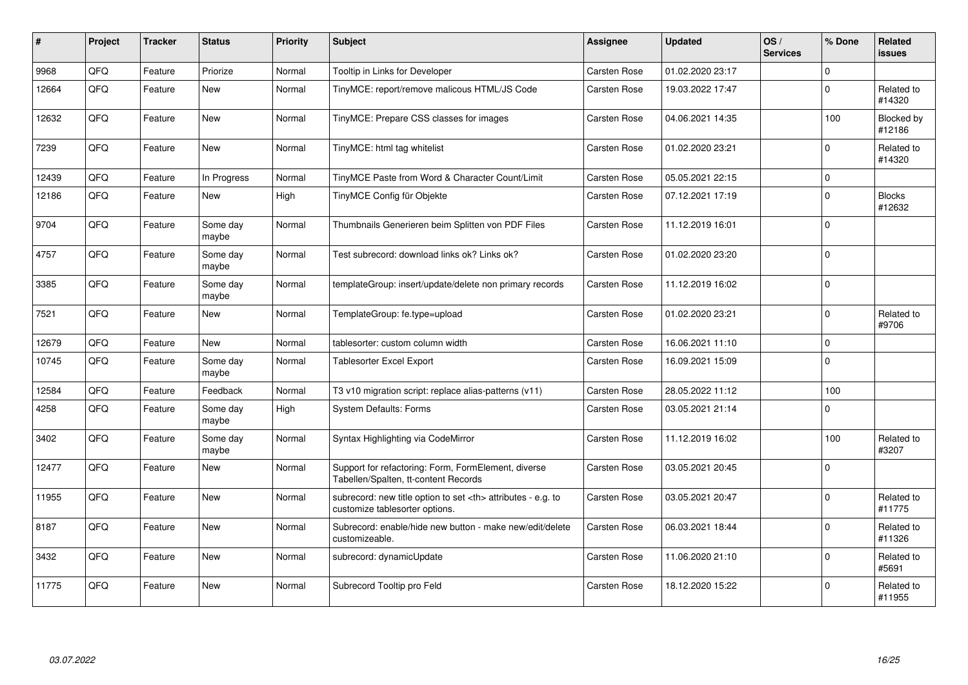| #     | <b>Project</b> | <b>Tracker</b> | <b>Status</b>     | <b>Priority</b> | <b>Subject</b>                                                                                       | Assignee                                               | <b>Updated</b>      | OS/<br><b>Services</b> | % Done      | Related<br><b>issues</b> |                      |
|-------|----------------|----------------|-------------------|-----------------|------------------------------------------------------------------------------------------------------|--------------------------------------------------------|---------------------|------------------------|-------------|--------------------------|----------------------|
| 9968  | QFQ            | Feature        | Priorize          | Normal          | Tooltip in Links for Developer                                                                       | <b>Carsten Rose</b>                                    | 01.02.2020 23:17    |                        | $\Omega$    |                          |                      |
| 12664 | QFQ            | Feature        | <b>New</b>        | Normal          | TinyMCE: report/remove malicous HTML/JS Code                                                         | Carsten Rose                                           | 19.03.2022 17:47    |                        | $\mathbf 0$ | Related to<br>#14320     |                      |
| 12632 | QFQ            | Feature        | <b>New</b>        | Normal          | TinyMCE: Prepare CSS classes for images                                                              | <b>Carsten Rose</b>                                    | 04.06.2021 14:35    |                        | 100         | Blocked by<br>#12186     |                      |
| 7239  | QFQ            | Feature        | <b>New</b>        | Normal          | TinyMCE: html tag whitelist                                                                          | Carsten Rose                                           | 01.02.2020 23:21    |                        | $\Omega$    | Related to<br>#14320     |                      |
| 12439 | QFQ            | Feature        | In Progress       | Normal          | TinyMCE Paste from Word & Character Count/Limit                                                      | Carsten Rose                                           | 05.05.2021 22:15    |                        | 0 l         |                          |                      |
| 12186 | QFQ            | Feature        | <b>New</b>        | High            | TinyMCE Config für Objekte                                                                           | Carsten Rose                                           | 07.12.2021 17:19    |                        | $\Omega$    | <b>Blocks</b><br>#12632  |                      |
| 9704  | QFQ            | Feature        | Some day<br>maybe | Normal          | Thumbnails Generieren beim Splitten von PDF Files                                                    | <b>Carsten Rose</b>                                    | 11.12.2019 16:01    |                        | $\Omega$    |                          |                      |
| 4757  | QFQ            | Feature        | Some day<br>maybe | Normal          | Test subrecord: download links ok? Links ok?                                                         | Carsten Rose                                           | 01.02.2020 23:20    |                        | $\Omega$    |                          |                      |
| 3385  | QFQ            | Feature        | Some day<br>maybe | Normal          | templateGroup: insert/update/delete non primary records                                              | <b>Carsten Rose</b>                                    | 11.12.2019 16:02    |                        | $\Omega$    |                          |                      |
| 7521  | QFQ            | Feature        | <b>New</b>        | Normal          | TemplateGroup: fe.type=upload                                                                        | <b>Carsten Rose</b>                                    | 01.02.2020 23:21    |                        | $\Omega$    | Related to<br>#9706      |                      |
| 12679 | QFQ            | Feature        | New               | Normal          | tablesorter: custom column width                                                                     | <b>Carsten Rose</b>                                    | 16.06.2021 11:10    |                        | $\mathbf 0$ |                          |                      |
| 10745 | QFQ            | Feature        | Some day<br>maybe | Normal          | <b>Tablesorter Excel Export</b>                                                                      | <b>Carsten Rose</b>                                    | 16.09.2021 15:09    |                        | $\mathbf 0$ |                          |                      |
| 12584 | QFQ            | Feature        | Feedback          | Normal          | T3 v10 migration script: replace alias-patterns (v11)                                                | <b>Carsten Rose</b>                                    | 28.05.2022 11:12    |                        | 100         |                          |                      |
| 4258  | QFQ            | Feature        | Some day<br>maybe | High            | <b>System Defaults: Forms</b>                                                                        | <b>Carsten Rose</b>                                    | 03.05.2021 21:14    |                        | $\Omega$    |                          |                      |
| 3402  | QFQ            | Feature        | Some day<br>maybe | Normal          | Syntax Highlighting via CodeMirror                                                                   | Carsten Rose                                           | 11.12.2019 16:02    |                        | 100         | Related to<br>#3207      |                      |
| 12477 | QFQ            | Feature        | <b>New</b>        | Normal          | Support for refactoring: Form, FormElement, diverse<br>Tabellen/Spalten, tt-content Records          | <b>Carsten Rose</b>                                    | 03.05.2021 20:45    |                        | $\Omega$    |                          |                      |
| 11955 | QFQ            | Feature        | <b>New</b>        | Normal          | subrecord: new title option to set <th> attributes - e.g. to<br/>customize tablesorter options.</th> | attributes - e.g. to<br>customize tablesorter options. | <b>Carsten Rose</b> | 03.05.2021 20:47       |             | $\Omega$                 | Related to<br>#11775 |
| 8187  | QFQ            | Feature        | <b>New</b>        | Normal          | Subrecord: enable/hide new button - make new/edit/delete<br>customizeable.                           | Carsten Rose                                           | 06.03.2021 18:44    |                        | $\mathbf 0$ | Related to<br>#11326     |                      |
| 3432  | QFQ            | Feature        | <b>New</b>        | Normal          | subrecord: dynamicUpdate                                                                             | Carsten Rose                                           | 11.06.2020 21:10    |                        | $\Omega$    | Related to<br>#5691      |                      |
| 11775 | QFQ            | Feature        | <b>New</b>        | Normal          | Subrecord Tooltip pro Feld                                                                           | <b>Carsten Rose</b>                                    | 18.12.2020 15:22    |                        | $\Omega$    | Related to<br>#11955     |                      |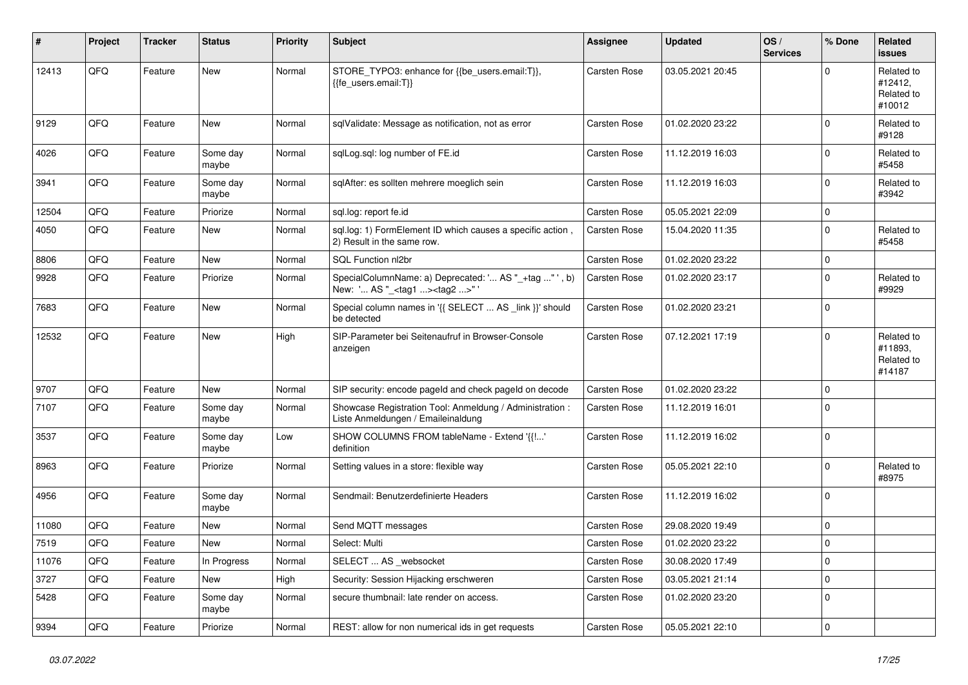| #     | Project | <b>Tracker</b> | <b>Status</b>     | <b>Priority</b> | <b>Subject</b>                                                                                      | <b>Assignee</b> | <b>Updated</b>   | OS/<br><b>Services</b> | % Done      | <b>Related</b><br><b>issues</b>               |
|-------|---------|----------------|-------------------|-----------------|-----------------------------------------------------------------------------------------------------|-----------------|------------------|------------------------|-------------|-----------------------------------------------|
| 12413 | QFQ     | Feature        | <b>New</b>        | Normal          | STORE_TYPO3: enhance for {{be_users.email:T}},<br>{{fe users.email:T}}                              | Carsten Rose    | 03.05.2021 20:45 |                        | $\Omega$    | Related to<br>#12412,<br>Related to<br>#10012 |
| 9129  | QFQ     | Feature        | <b>New</b>        | Normal          | sqlValidate: Message as notification, not as error                                                  | Carsten Rose    | 01.02.2020 23:22 |                        | $\Omega$    | Related to<br>#9128                           |
| 4026  | QFQ     | Feature        | Some day<br>maybe | Normal          | sglLog.sgl: log number of FE.id                                                                     | Carsten Rose    | 11.12.2019 16:03 |                        | $\mathbf 0$ | Related to<br>#5458                           |
| 3941  | QFQ     | Feature        | Some day<br>maybe | Normal          | sglAfter: es sollten mehrere moeglich sein                                                          | Carsten Rose    | 11.12.2019 16:03 |                        | $\mathbf 0$ | Related to<br>#3942                           |
| 12504 | QFQ     | Feature        | Priorize          | Normal          | sql.log: report fe.id                                                                               | Carsten Rose    | 05.05.2021 22:09 |                        | $\mathbf 0$ |                                               |
| 4050  | QFQ     | Feature        | <b>New</b>        | Normal          | sql.log: 1) FormElement ID which causes a specific action,<br>2) Result in the same row.            | Carsten Rose    | 15.04.2020 11:35 |                        | $\Omega$    | Related to<br>#5458                           |
| 8806  | QFQ     | Feature        | <b>New</b>        | Normal          | SQL Function nl2br                                                                                  | Carsten Rose    | 01.02.2020 23:22 |                        | $\mathbf 0$ |                                               |
| 9928  | QFQ     | Feature        | Priorize          | Normal          | SpecialColumnName: a) Deprecated: ' AS "_+tag " ', b)<br>New: ' AS "_ <tag1><tag2>" '</tag2></tag1> | Carsten Rose    | 01.02.2020 23:17 |                        | $\mathbf 0$ | Related to<br>#9929                           |
| 7683  | QFQ     | Feature        | New               | Normal          | Special column names in '{{ SELECT  AS _link }}' should<br>be detected                              | Carsten Rose    | 01.02.2020 23:21 |                        | $\mathbf 0$ |                                               |
| 12532 | QFQ     | Feature        | New               | High            | SIP-Parameter bei Seitenaufruf in Browser-Console<br>anzeigen                                       | Carsten Rose    | 07.12.2021 17:19 |                        | $\Omega$    | Related to<br>#11893.<br>Related to<br>#14187 |
| 9707  | QFQ     | Feature        | New               | Normal          | SIP security: encode pageld and check pageld on decode                                              | Carsten Rose    | 01.02.2020 23:22 |                        | $\mathbf 0$ |                                               |
| 7107  | QFQ     | Feature        | Some day<br>maybe | Normal          | Showcase Registration Tool: Anmeldung / Administration :<br>Liste Anmeldungen / Emaileinaldung      | Carsten Rose    | 11.12.2019 16:01 |                        | 0           |                                               |
| 3537  | QFQ     | Feature        | Some day<br>maybe | Low             | SHOW COLUMNS FROM tableName - Extend '{{!'<br>definition                                            | Carsten Rose    | 11.12.2019 16:02 |                        | $\Omega$    |                                               |
| 8963  | QFQ     | Feature        | Priorize          | Normal          | Setting values in a store: flexible way                                                             | Carsten Rose    | 05.05.2021 22:10 |                        | $\mathbf 0$ | Related to<br>#8975                           |
| 4956  | QFQ     | Feature        | Some day<br>maybe | Normal          | Sendmail: Benutzerdefinierte Headers                                                                | Carsten Rose    | 11.12.2019 16:02 |                        | $\Omega$    |                                               |
| 11080 | QFQ     | Feature        | New               | Normal          | Send MQTT messages                                                                                  | Carsten Rose    | 29.08.2020 19:49 |                        | $\mathbf 0$ |                                               |
| 7519  | QFQ     | Feature        | <b>New</b>        | Normal          | Select: Multi                                                                                       | Carsten Rose    | 01.02.2020 23:22 |                        | $\Omega$    |                                               |
| 11076 | QFQ     | Feature        | In Progress       | Normal          | SELECT  AS _websocket                                                                               | Carsten Rose    | 30.08.2020 17:49 |                        | $\mathbf 0$ |                                               |
| 3727  | QFQ     | Feature        | New               | High            | Security: Session Hijacking erschweren                                                              | Carsten Rose    | 03.05.2021 21:14 |                        | 0           |                                               |
| 5428  | QFQ     | Feature        | Some day<br>maybe | Normal          | secure thumbnail: late render on access.                                                            | Carsten Rose    | 01.02.2020 23:20 |                        | $\mathbf 0$ |                                               |
| 9394  | QFG     | Feature        | Priorize          | Normal          | REST: allow for non numerical ids in get requests                                                   | Carsten Rose    | 05.05.2021 22:10 |                        | $\mathbf 0$ |                                               |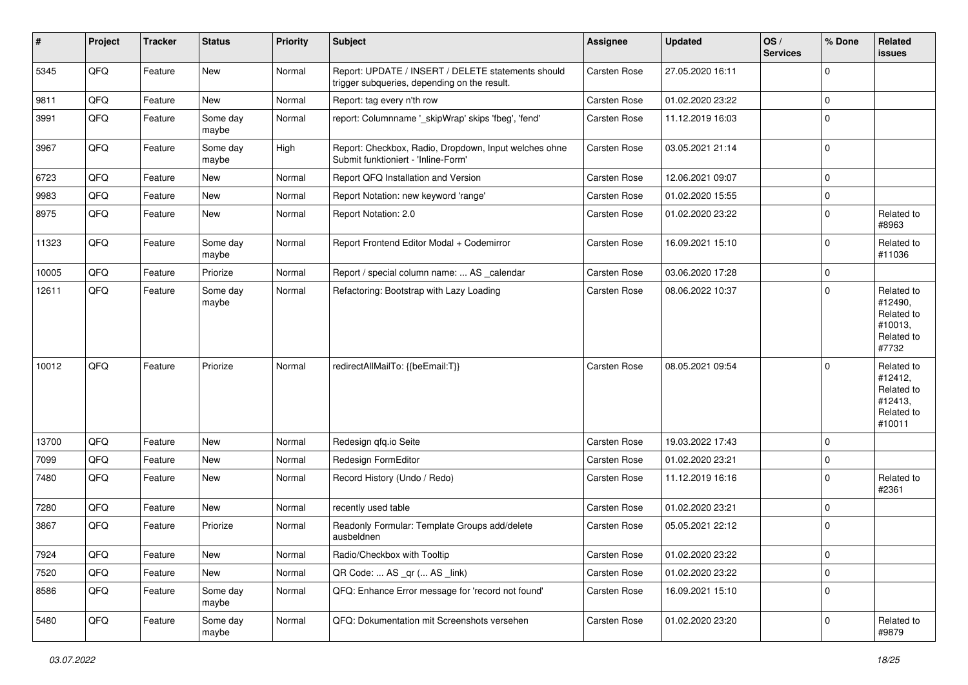| #     | Project | <b>Tracker</b> | <b>Status</b>     | <b>Priority</b> | Subject                                                                                            | <b>Assignee</b>     | <b>Updated</b>   | OS/<br><b>Services</b> | % Done       | Related<br>issues                                                      |
|-------|---------|----------------|-------------------|-----------------|----------------------------------------------------------------------------------------------------|---------------------|------------------|------------------------|--------------|------------------------------------------------------------------------|
| 5345  | QFQ     | Feature        | <b>New</b>        | Normal          | Report: UPDATE / INSERT / DELETE statements should<br>trigger subqueries, depending on the result. | Carsten Rose        | 27.05.2020 16:11 |                        | $\Omega$     |                                                                        |
| 9811  | QFQ     | Feature        | New               | Normal          | Report: tag every n'th row                                                                         | Carsten Rose        | 01.02.2020 23:22 |                        | $\mathbf 0$  |                                                                        |
| 3991  | QFQ     | Feature        | Some day<br>maybe | Normal          | report: Columnname '_skipWrap' skips 'fbeg', 'fend'                                                | Carsten Rose        | 11.12.2019 16:03 |                        | $\Omega$     |                                                                        |
| 3967  | QFQ     | Feature        | Some day<br>maybe | High            | Report: Checkbox, Radio, Dropdown, Input welches ohne<br>Submit funktioniert - 'Inline-Form'       | Carsten Rose        | 03.05.2021 21:14 |                        | $\mathbf{0}$ |                                                                        |
| 6723  | QFQ     | Feature        | New               | Normal          | Report QFQ Installation and Version                                                                | Carsten Rose        | 12.06.2021 09:07 |                        | $\Omega$     |                                                                        |
| 9983  | QFQ     | Feature        | New               | Normal          | Report Notation: new keyword 'range'                                                               | Carsten Rose        | 01.02.2020 15:55 |                        | $\mathbf 0$  |                                                                        |
| 8975  | QFQ     | Feature        | New               | Normal          | Report Notation: 2.0                                                                               | Carsten Rose        | 01.02.2020 23:22 |                        | $\Omega$     | Related to<br>#8963                                                    |
| 11323 | QFQ     | Feature        | Some day<br>maybe | Normal          | Report Frontend Editor Modal + Codemirror                                                          | Carsten Rose        | 16.09.2021 15:10 |                        | 0            | Related to<br>#11036                                                   |
| 10005 | QFQ     | Feature        | Priorize          | Normal          | Report / special column name:  AS _calendar                                                        | Carsten Rose        | 03.06.2020 17:28 |                        | $\mathbf 0$  |                                                                        |
| 12611 | QFQ     | Feature        | Some day<br>maybe | Normal          | Refactoring: Bootstrap with Lazy Loading                                                           | <b>Carsten Rose</b> | 08.06.2022 10:37 |                        | $\Omega$     | Related to<br>#12490.<br>Related to<br>#10013,<br>Related to<br>#7732  |
| 10012 | QFQ     | Feature        | Priorize          | Normal          | redirectAllMailTo: {{beEmail:T}}                                                                   | Carsten Rose        | 08.05.2021 09:54 |                        | $\Omega$     | Related to<br>#12412,<br>Related to<br>#12413,<br>Related to<br>#10011 |
| 13700 | QFQ     | Feature        | <b>New</b>        | Normal          | Redesign qfq.io Seite                                                                              | Carsten Rose        | 19.03.2022 17:43 |                        | $\mathbf{0}$ |                                                                        |
| 7099  | QFQ     | Feature        | New               | Normal          | Redesign FormEditor                                                                                | <b>Carsten Rose</b> | 01.02.2020 23:21 |                        | $\mathbf 0$  |                                                                        |
| 7480  | QFQ     | Feature        | New               | Normal          | Record History (Undo / Redo)                                                                       | Carsten Rose        | 11.12.2019 16:16 |                        | $\Omega$     | Related to<br>#2361                                                    |
| 7280  | QFQ     | Feature        | <b>New</b>        | Normal          | recently used table                                                                                | Carsten Rose        | 01.02.2020 23:21 |                        | $\mathbf 0$  |                                                                        |
| 3867  | QFQ     | Feature        | Priorize          | Normal          | Readonly Formular: Template Groups add/delete<br>ausbeldnen                                        | <b>Carsten Rose</b> | 05.05.2021 22:12 |                        | $\mathbf 0$  |                                                                        |
| 7924  | QFQ     | Feature        | New               | Normal          | Radio/Checkbox with Tooltip                                                                        | Carsten Rose        | 01.02.2020 23:22 |                        | 0            |                                                                        |
| 7520  | QFQ     | Feature        | New               | Normal          | QR Code:  AS _qr ( AS _link)                                                                       | Carsten Rose        | 01.02.2020 23:22 |                        | $\mathbf 0$  |                                                                        |
| 8586  | QFQ     | Feature        | Some day<br>maybe | Normal          | QFQ: Enhance Error message for 'record not found'                                                  | Carsten Rose        | 16.09.2021 15:10 |                        | $\mathbf 0$  |                                                                        |
| 5480  | QFQ     | Feature        | Some day<br>maybe | Normal          | QFQ: Dokumentation mit Screenshots versehen                                                        | Carsten Rose        | 01.02.2020 23:20 |                        | 0            | Related to<br>#9879                                                    |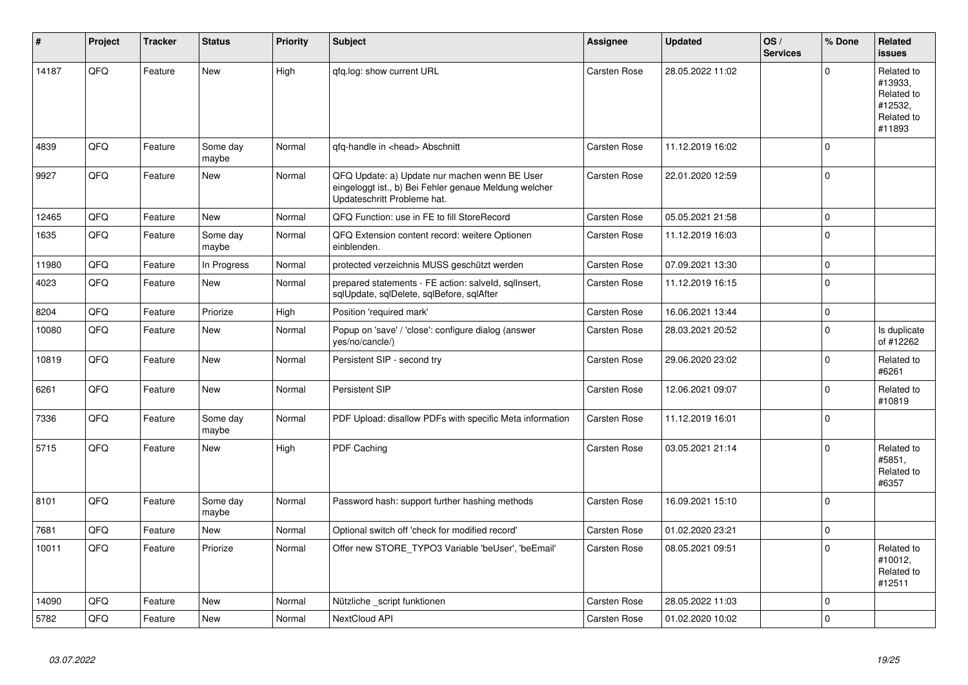| #     | Project | <b>Tracker</b> | <b>Status</b>     | <b>Priority</b> | <b>Subject</b>                                                                                                                        | Assignee            | <b>Updated</b>   | OS/<br><b>Services</b> | % Done      | Related<br><b>issues</b>                                               |
|-------|---------|----------------|-------------------|-----------------|---------------------------------------------------------------------------------------------------------------------------------------|---------------------|------------------|------------------------|-------------|------------------------------------------------------------------------|
| 14187 | QFQ     | Feature        | <b>New</b>        | High            | qfq.log: show current URL                                                                                                             | Carsten Rose        | 28.05.2022 11:02 |                        | $\Omega$    | Related to<br>#13933.<br>Related to<br>#12532,<br>Related to<br>#11893 |
| 4839  | QFQ     | Feature        | Some day<br>maybe | Normal          | gfg-handle in <head> Abschnitt</head>                                                                                                 | <b>Carsten Rose</b> | 11.12.2019 16:02 |                        | $\Omega$    |                                                                        |
| 9927  | QFQ     | Feature        | <b>New</b>        | Normal          | QFQ Update: a) Update nur machen wenn BE User<br>eingeloggt ist., b) Bei Fehler genaue Meldung welcher<br>Updateschritt Probleme hat. | <b>Carsten Rose</b> | 22.01.2020 12:59 |                        | $\Omega$    |                                                                        |
| 12465 | QFQ     | Feature        | <b>New</b>        | Normal          | QFQ Function: use in FE to fill StoreRecord                                                                                           | Carsten Rose        | 05.05.2021 21:58 |                        | $\Omega$    |                                                                        |
| 1635  | QFQ     | Feature        | Some day<br>maybe | Normal          | QFQ Extension content record: weitere Optionen<br>einblenden.                                                                         | Carsten Rose        | 11.12.2019 16:03 |                        | $\Omega$    |                                                                        |
| 11980 | QFQ     | Feature        | In Progress       | Normal          | protected verzeichnis MUSS geschützt werden                                                                                           | <b>Carsten Rose</b> | 07.09.2021 13:30 |                        | $\Omega$    |                                                                        |
| 4023  | QFQ     | Feature        | <b>New</b>        | Normal          | prepared statements - FE action: salveld, sqlInsert,<br>sqlUpdate, sqlDelete, sqlBefore, sqlAfter                                     | <b>Carsten Rose</b> | 11.12.2019 16:15 |                        | $\Omega$    |                                                                        |
| 8204  | QFQ     | Feature        | Priorize          | High            | Position 'required mark'                                                                                                              | <b>Carsten Rose</b> | 16.06.2021 13:44 |                        | $\Omega$    |                                                                        |
| 10080 | QFQ     | Feature        | <b>New</b>        | Normal          | Popup on 'save' / 'close': configure dialog (answer<br>yes/no/cancle/)                                                                | Carsten Rose        | 28.03.2021 20:52 |                        | $\Omega$    | Is duplicate<br>of #12262                                              |
| 10819 | QFQ     | Feature        | <b>New</b>        | Normal          | Persistent SIP - second try                                                                                                           | Carsten Rose        | 29.06.2020 23:02 |                        | $\Omega$    | Related to<br>#6261                                                    |
| 6261  | QFQ     | Feature        | <b>New</b>        | Normal          | Persistent SIP                                                                                                                        | <b>Carsten Rose</b> | 12.06.2021 09:07 |                        | $\Omega$    | Related to<br>#10819                                                   |
| 7336  | QFQ     | Feature        | Some day<br>maybe | Normal          | PDF Upload: disallow PDFs with specific Meta information                                                                              | <b>Carsten Rose</b> | 11.12.2019 16:01 |                        | $\Omega$    |                                                                        |
| 5715  | QFQ     | Feature        | <b>New</b>        | High            | <b>PDF Caching</b>                                                                                                                    | <b>Carsten Rose</b> | 03.05.2021 21:14 |                        | $\Omega$    | Related to<br>#5851,<br>Related to<br>#6357                            |
| 8101  | QFQ     | Feature        | Some day<br>maybe | Normal          | Password hash: support further hashing methods                                                                                        | <b>Carsten Rose</b> | 16.09.2021 15:10 |                        | $\Omega$    |                                                                        |
| 7681  | QFQ     | Feature        | <b>New</b>        | Normal          | Optional switch off 'check for modified record'                                                                                       | Carsten Rose        | 01.02.2020 23:21 |                        | $\Omega$    |                                                                        |
| 10011 | QFQ     | Feature        | Priorize          | Normal          | Offer new STORE TYPO3 Variable 'beUser', 'beEmail'                                                                                    | <b>Carsten Rose</b> | 08.05.2021 09:51 |                        | $\Omega$    | Related to<br>#10012,<br>Related to<br>#12511                          |
| 14090 | QFQ     | Feature        | <b>New</b>        | Normal          | Nützliche _script funktionen                                                                                                          | <b>Carsten Rose</b> | 28.05.2022 11:03 |                        | $\mathbf 0$ |                                                                        |
| 5782  | QFQ     | Feature        | New               | Normal          | NextCloud API                                                                                                                         | Carsten Rose        | 01.02.2020 10:02 |                        | $\Omega$    |                                                                        |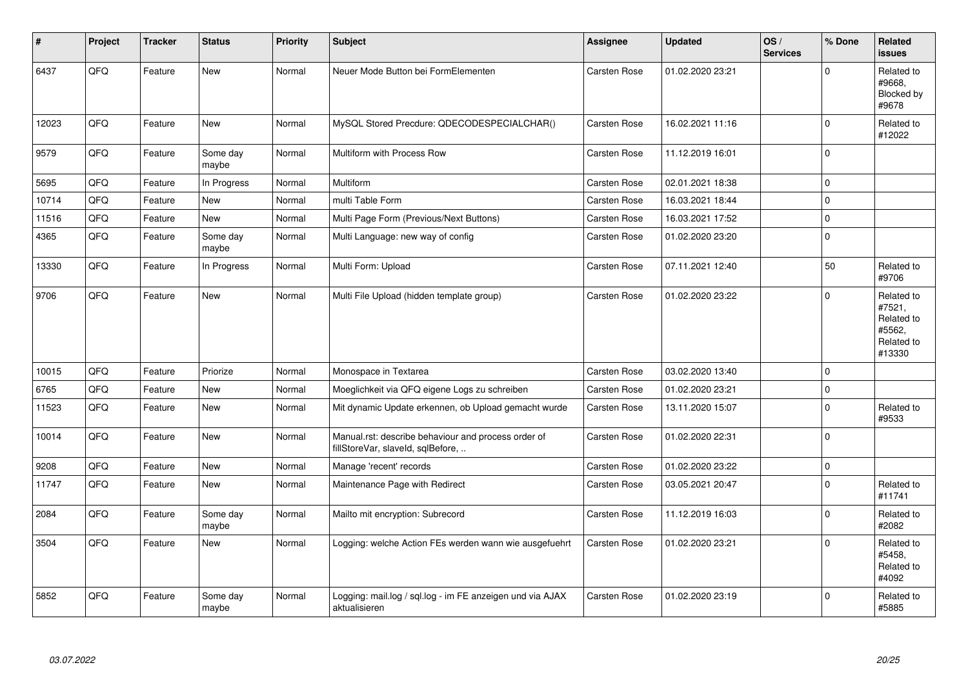| #     | Project | <b>Tracker</b> | <b>Status</b>     | <b>Priority</b> | Subject                                                                                  | <b>Assignee</b> | <b>Updated</b>   | OS/<br><b>Services</b> | % Done      | Related<br><b>issues</b>                                             |
|-------|---------|----------------|-------------------|-----------------|------------------------------------------------------------------------------------------|-----------------|------------------|------------------------|-------------|----------------------------------------------------------------------|
| 6437  | QFQ     | Feature        | <b>New</b>        | Normal          | Neuer Mode Button bei FormElementen                                                      | Carsten Rose    | 01.02.2020 23:21 |                        | $\Omega$    | Related to<br>#9668.<br>Blocked by<br>#9678                          |
| 12023 | QFQ     | Feature        | <b>New</b>        | Normal          | MySQL Stored Precdure: QDECODESPECIALCHAR()                                              | Carsten Rose    | 16.02.2021 11:16 |                        | $\mathbf 0$ | Related to<br>#12022                                                 |
| 9579  | QFQ     | Feature        | Some day<br>maybe | Normal          | Multiform with Process Row                                                               | Carsten Rose    | 11.12.2019 16:01 |                        | $\mathbf 0$ |                                                                      |
| 5695  | QFQ     | Feature        | In Progress       | Normal          | Multiform                                                                                | Carsten Rose    | 02.01.2021 18:38 |                        | $\Omega$    |                                                                      |
| 10714 | QFQ     | Feature        | <b>New</b>        | Normal          | multi Table Form                                                                         | Carsten Rose    | 16.03.2021 18:44 |                        | $\mathbf 0$ |                                                                      |
| 11516 | QFQ     | Feature        | <b>New</b>        | Normal          | Multi Page Form (Previous/Next Buttons)                                                  | Carsten Rose    | 16.03.2021 17:52 |                        | $\mathbf 0$ |                                                                      |
| 4365  | QFQ     | Feature        | Some day<br>maybe | Normal          | Multi Language: new way of config                                                        | Carsten Rose    | 01.02.2020 23:20 |                        | $\mathbf 0$ |                                                                      |
| 13330 | QFQ     | Feature        | In Progress       | Normal          | Multi Form: Upload                                                                       | Carsten Rose    | 07.11.2021 12:40 |                        | 50          | Related to<br>#9706                                                  |
| 9706  | QFQ     | Feature        | <b>New</b>        | Normal          | Multi File Upload (hidden template group)                                                | Carsten Rose    | 01.02.2020 23:22 |                        | $\Omega$    | Related to<br>#7521,<br>Related to<br>#5562,<br>Related to<br>#13330 |
| 10015 | QFQ     | Feature        | Priorize          | Normal          | Monospace in Textarea                                                                    | Carsten Rose    | 03.02.2020 13:40 |                        | $\mathbf 0$ |                                                                      |
| 6765  | QFQ     | Feature        | <b>New</b>        | Normal          | Moeglichkeit via QFQ eigene Logs zu schreiben                                            | Carsten Rose    | 01.02.2020 23:21 |                        | $\mathbf 0$ |                                                                      |
| 11523 | QFQ     | Feature        | <b>New</b>        | Normal          | Mit dynamic Update erkennen, ob Upload gemacht wurde                                     | Carsten Rose    | 13.11.2020 15:07 |                        | $\mathbf 0$ | Related to<br>#9533                                                  |
| 10014 | QFQ     | Feature        | <b>New</b>        | Normal          | Manual.rst: describe behaviour and process order of<br>fillStoreVar, slaveId, sqlBefore, | Carsten Rose    | 01.02.2020 22:31 |                        | $\Omega$    |                                                                      |
| 9208  | QFQ     | Feature        | <b>New</b>        | Normal          | Manage 'recent' records                                                                  | Carsten Rose    | 01.02.2020 23:22 |                        | $\mathbf 0$ |                                                                      |
| 11747 | QFQ     | Feature        | New               | Normal          | Maintenance Page with Redirect                                                           | Carsten Rose    | 03.05.2021 20:47 |                        | $\Omega$    | Related to<br>#11741                                                 |
| 2084  | QFQ     | Feature        | Some day<br>maybe | Normal          | Mailto mit encryption: Subrecord                                                         | Carsten Rose    | 11.12.2019 16:03 |                        | $\pmb{0}$   | Related to<br>#2082                                                  |
| 3504  | QFQ     | Feature        | New               | Normal          | Logging: welche Action FEs werden wann wie ausgefuehrt                                   | Carsten Rose    | 01.02.2020 23:21 |                        | $\Omega$    | Related to<br>#5458.<br>Related to<br>#4092                          |
| 5852  | QFQ     | Feature        | Some day<br>maybe | Normal          | Logging: mail.log / sql.log - im FE anzeigen und via AJAX<br>aktualisieren               | Carsten Rose    | 01.02.2020 23:19 |                        | $\mathbf 0$ | Related to<br>#5885                                                  |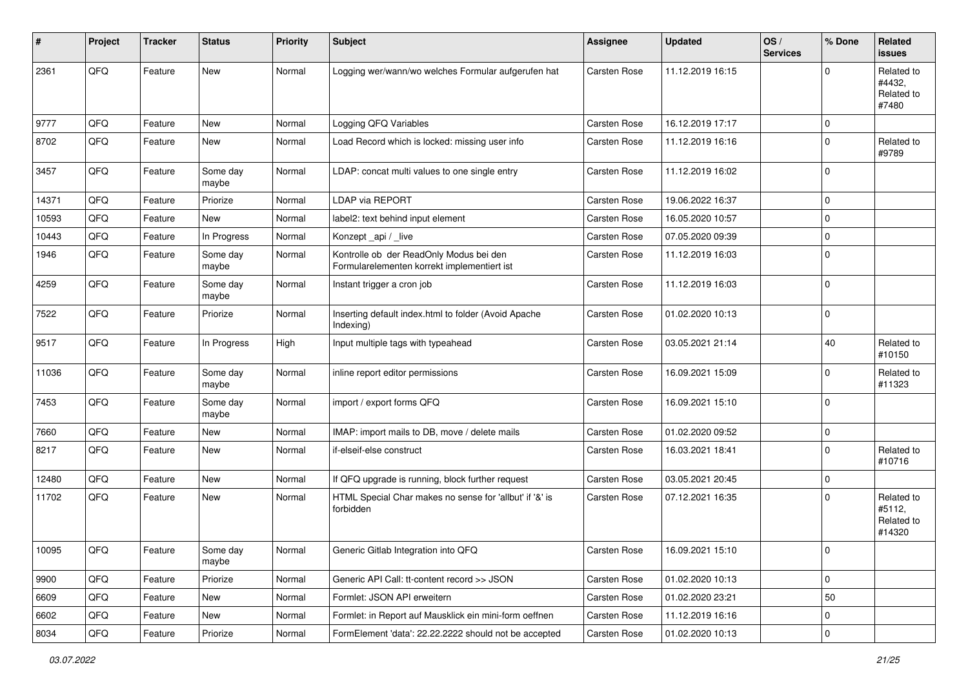| #     | Project | <b>Tracker</b> | <b>Status</b>     | <b>Priority</b> | Subject                                                                                | <b>Assignee</b> | <b>Updated</b>   | OS/<br><b>Services</b> | % Done      | Related<br>issues                            |
|-------|---------|----------------|-------------------|-----------------|----------------------------------------------------------------------------------------|-----------------|------------------|------------------------|-------------|----------------------------------------------|
| 2361  | QFQ     | Feature        | New               | Normal          | Logging wer/wann/wo welches Formular aufgerufen hat                                    | Carsten Rose    | 11.12.2019 16:15 |                        | $\Omega$    | Related to<br>#4432,<br>Related to<br>#7480  |
| 9777  | QFQ     | Feature        | <b>New</b>        | Normal          | Logging QFQ Variables                                                                  | Carsten Rose    | 16.12.2019 17:17 |                        | $\mathbf 0$ |                                              |
| 8702  | QFQ     | Feature        | New               | Normal          | Load Record which is locked: missing user info                                         | Carsten Rose    | 11.12.2019 16:16 |                        | $\mathbf 0$ | Related to<br>#9789                          |
| 3457  | QFQ     | Feature        | Some day<br>maybe | Normal          | LDAP: concat multi values to one single entry                                          | Carsten Rose    | 11.12.2019 16:02 |                        | $\mathbf 0$ |                                              |
| 14371 | QFQ     | Feature        | Priorize          | Normal          | LDAP via REPORT                                                                        | Carsten Rose    | 19.06.2022 16:37 |                        | $\mathbf 0$ |                                              |
| 10593 | QFQ     | Feature        | New               | Normal          | label2: text behind input element                                                      | Carsten Rose    | 16.05.2020 10:57 |                        | $\mathbf 0$ |                                              |
| 10443 | QFQ     | Feature        | In Progress       | Normal          | Konzept_api / _live                                                                    | Carsten Rose    | 07.05.2020 09:39 |                        | $\mathbf 0$ |                                              |
| 1946  | QFQ     | Feature        | Some day<br>maybe | Normal          | Kontrolle ob der ReadOnly Modus bei den<br>Formularelementen korrekt implementiert ist | Carsten Rose    | 11.12.2019 16:03 |                        | $\mathbf 0$ |                                              |
| 4259  | QFQ     | Feature        | Some day<br>maybe | Normal          | Instant trigger a cron job                                                             | Carsten Rose    | 11.12.2019 16:03 |                        | $\mathbf 0$ |                                              |
| 7522  | QFQ     | Feature        | Priorize          | Normal          | Inserting default index.html to folder (Avoid Apache<br>Indexing)                      | Carsten Rose    | 01.02.2020 10:13 |                        | 0 l         |                                              |
| 9517  | QFQ     | Feature        | In Progress       | High            | Input multiple tags with typeahead                                                     | Carsten Rose    | 03.05.2021 21:14 |                        | 40          | Related to<br>#10150                         |
| 11036 | QFQ     | Feature        | Some day<br>maybe | Normal          | inline report editor permissions                                                       | Carsten Rose    | 16.09.2021 15:09 |                        | $\mathbf 0$ | Related to<br>#11323                         |
| 7453  | QFQ     | Feature        | Some day<br>maybe | Normal          | import / export forms QFQ                                                              | Carsten Rose    | 16.09.2021 15:10 |                        | 0           |                                              |
| 7660  | QFQ     | Feature        | <b>New</b>        | Normal          | IMAP: import mails to DB, move / delete mails                                          | Carsten Rose    | 01.02.2020 09:52 |                        | $\mathbf 0$ |                                              |
| 8217  | QFQ     | Feature        | <b>New</b>        | Normal          | if-elseif-else construct                                                               | Carsten Rose    | 16.03.2021 18:41 |                        | $\Omega$    | Related to<br>#10716                         |
| 12480 | QFG     | Feature        | <b>New</b>        | Normal          | If QFQ upgrade is running, block further request                                       | Carsten Rose    | 03.05.2021 20:45 |                        | $\mathbf 0$ |                                              |
| 11702 | QFQ     | Feature        | New               | Normal          | HTML Special Char makes no sense for 'allbut' if '&' is<br>forbidden                   | Carsten Rose    | 07.12.2021 16:35 |                        | $\mathbf 0$ | Related to<br>#5112,<br>Related to<br>#14320 |
| 10095 | QFG     | Feature        | Some day<br>maybe | Normal          | Generic Gitlab Integration into QFQ                                                    | Carsten Rose    | 16.09.2021 15:10 |                        | O           |                                              |
| 9900  | QFQ     | Feature        | Priorize          | Normal          | Generic API Call: tt-content record >> JSON                                            | Carsten Rose    | 01.02.2020 10:13 |                        | 0           |                                              |
| 6609  | QFQ     | Feature        | New               | Normal          | Formlet: JSON API erweitern                                                            | Carsten Rose    | 01.02.2020 23:21 |                        | 50          |                                              |
| 6602  | QFQ     | Feature        | New               | Normal          | Formlet: in Report auf Mausklick ein mini-form oeffnen                                 | Carsten Rose    | 11.12.2019 16:16 |                        | 0           |                                              |
| 8034  | QFG     | Feature        | Priorize          | Normal          | FormElement 'data': 22.22.2222 should not be accepted                                  | Carsten Rose    | 01.02.2020 10:13 |                        | $\mathbf 0$ |                                              |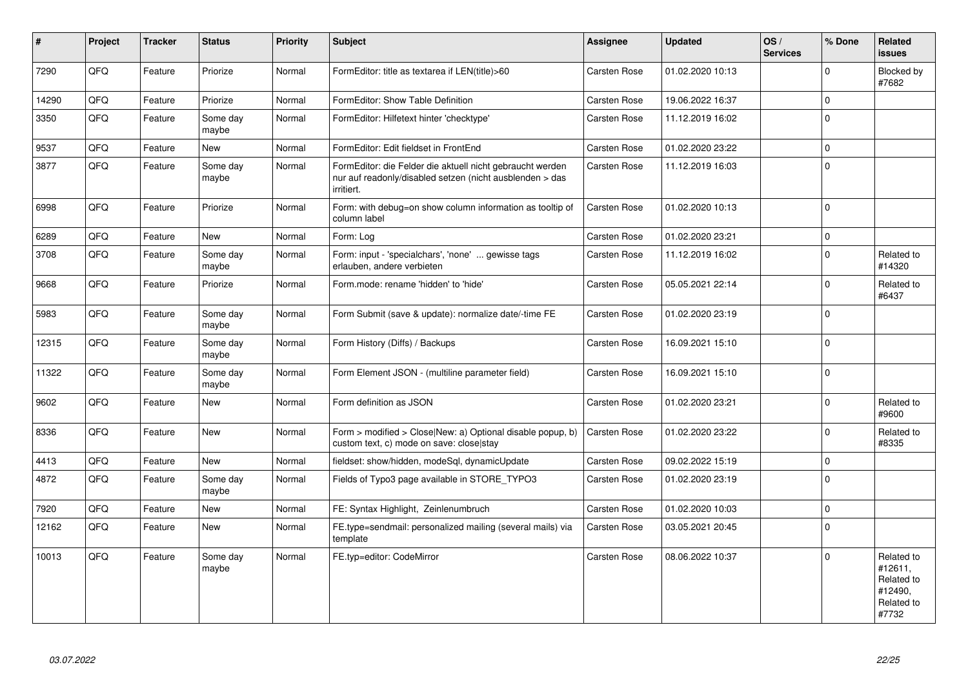| #     | Project | <b>Tracker</b> | <b>Status</b>     | <b>Priority</b> | <b>Subject</b>                                                                                                                      | Assignee            | <b>Updated</b>   | OS/<br><b>Services</b> | % Done      | Related<br>issues                                                     |
|-------|---------|----------------|-------------------|-----------------|-------------------------------------------------------------------------------------------------------------------------------------|---------------------|------------------|------------------------|-------------|-----------------------------------------------------------------------|
| 7290  | QFQ     | Feature        | Priorize          | Normal          | FormEditor: title as textarea if LEN(title)>60                                                                                      | <b>Carsten Rose</b> | 01.02.2020 10:13 |                        | $\Omega$    | Blocked by<br>#7682                                                   |
| 14290 | QFQ     | Feature        | Priorize          | Normal          | FormEditor: Show Table Definition                                                                                                   | <b>Carsten Rose</b> | 19.06.2022 16:37 |                        | $\pmb{0}$   |                                                                       |
| 3350  | QFQ     | Feature        | Some day<br>maybe | Normal          | FormEditor: Hilfetext hinter 'checktype'                                                                                            | <b>Carsten Rose</b> | 11.12.2019 16:02 |                        | $\Omega$    |                                                                       |
| 9537  | QFQ     | Feature        | New               | Normal          | FormEditor: Edit fieldset in FrontEnd                                                                                               | <b>Carsten Rose</b> | 01.02.2020 23:22 |                        | $\pmb{0}$   |                                                                       |
| 3877  | QFQ     | Feature        | Some day<br>maybe | Normal          | FormEditor: die Felder die aktuell nicht gebraucht werden<br>nur auf readonly/disabled setzen (nicht ausblenden > das<br>irritiert. | <b>Carsten Rose</b> | 11.12.2019 16:03 |                        | $\Omega$    |                                                                       |
| 6998  | QFQ     | Feature        | Priorize          | Normal          | Form: with debug=on show column information as tooltip of<br>column label                                                           | <b>Carsten Rose</b> | 01.02.2020 10:13 |                        | $\Omega$    |                                                                       |
| 6289  | QFQ     | Feature        | <b>New</b>        | Normal          | Form: Log                                                                                                                           | Carsten Rose        | 01.02.2020 23:21 |                        | $\mathbf 0$ |                                                                       |
| 3708  | QFQ     | Feature        | Some day<br>maybe | Normal          | Form: input - 'specialchars', 'none'  gewisse tags<br>erlauben, andere verbieten                                                    | Carsten Rose        | 11.12.2019 16:02 |                        | $\Omega$    | Related to<br>#14320                                                  |
| 9668  | QFQ     | Feature        | Priorize          | Normal          | Form.mode: rename 'hidden' to 'hide'                                                                                                | Carsten Rose        | 05.05.2021 22:14 |                        | $\Omega$    | Related to<br>#6437                                                   |
| 5983  | QFQ     | Feature        | Some day<br>maybe | Normal          | Form Submit (save & update): normalize date/-time FE                                                                                | <b>Carsten Rose</b> | 01.02.2020 23:19 |                        | $\mathbf 0$ |                                                                       |
| 12315 | QFQ     | Feature        | Some day<br>maybe | Normal          | Form History (Diffs) / Backups                                                                                                      | <b>Carsten Rose</b> | 16.09.2021 15:10 |                        | $\mathbf 0$ |                                                                       |
| 11322 | QFQ     | Feature        | Some day<br>maybe | Normal          | Form Element JSON - (multiline parameter field)                                                                                     | Carsten Rose        | 16.09.2021 15:10 |                        | $\Omega$    |                                                                       |
| 9602  | QFQ     | Feature        | New               | Normal          | Form definition as JSON                                                                                                             | <b>Carsten Rose</b> | 01.02.2020 23:21 |                        | $\Omega$    | Related to<br>#9600                                                   |
| 8336  | QFQ     | Feature        | New               | Normal          | Form > modified > Close New: a) Optional disable popup, b)<br>custom text, c) mode on save: close stay                              | Carsten Rose        | 01.02.2020 23:22 |                        | $\mathbf 0$ | Related to<br>#8335                                                   |
| 4413  | QFQ     | Feature        | <b>New</b>        | Normal          | fieldset: show/hidden, modeSql, dynamicUpdate                                                                                       | Carsten Rose        | 09.02.2022 15:19 |                        | $\mathbf 0$ |                                                                       |
| 4872  | QFQ     | Feature        | Some day<br>maybe | Normal          | Fields of Typo3 page available in STORE_TYPO3                                                                                       | Carsten Rose        | 01.02.2020 23:19 |                        | $\mathbf 0$ |                                                                       |
| 7920  | QFQ     | Feature        | <b>New</b>        | Normal          | FE: Syntax Highlight, Zeinlenumbruch                                                                                                | Carsten Rose        | 01.02.2020 10:03 |                        | $\mathbf 0$ |                                                                       |
| 12162 | QFQ     | Feature        | New               | Normal          | FE.type=sendmail: personalized mailing (several mails) via<br>template                                                              | Carsten Rose        | 03.05.2021 20:45 |                        | $\Omega$    |                                                                       |
| 10013 | QFQ     | Feature        | Some day<br>maybe | Normal          | FE.typ=editor: CodeMirror                                                                                                           | <b>Carsten Rose</b> | 08.06.2022 10:37 |                        | $\Omega$    | Related to<br>#12611,<br>Related to<br>#12490.<br>Related to<br>#7732 |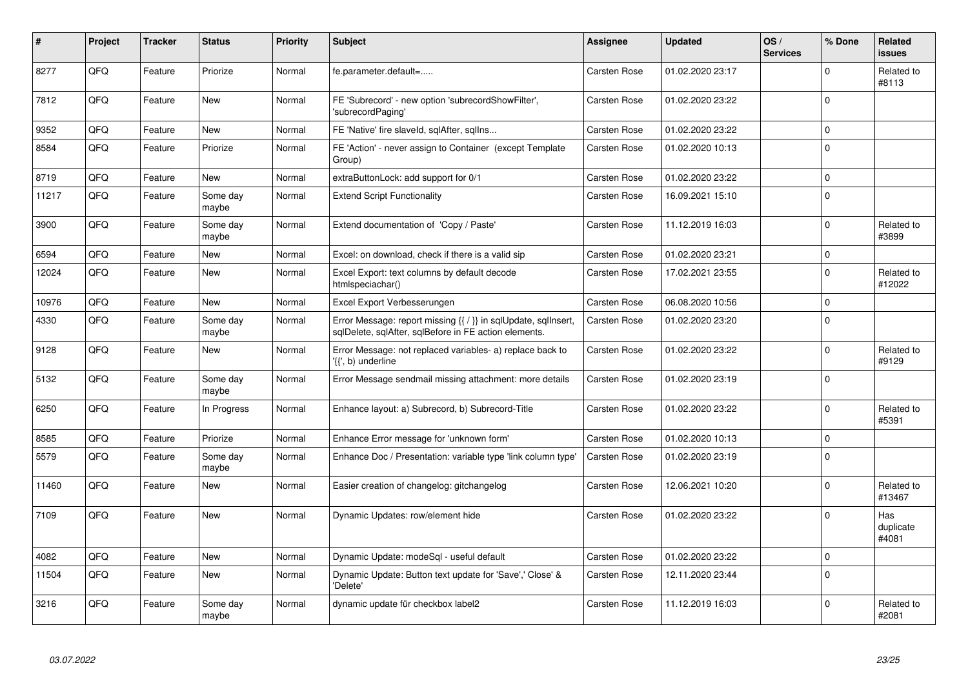| #     | Project | <b>Tracker</b> | <b>Status</b>     | <b>Priority</b> | <b>Subject</b>                                                                                                          | <b>Assignee</b>     | <b>Updated</b>   | OS/<br><b>Services</b> | % Done       | Related<br><b>issues</b>  |
|-------|---------|----------------|-------------------|-----------------|-------------------------------------------------------------------------------------------------------------------------|---------------------|------------------|------------------------|--------------|---------------------------|
| 8277  | QFQ     | Feature        | Priorize          | Normal          | fe.parameter.default=                                                                                                   | Carsten Rose        | 01.02.2020 23:17 |                        | $\Omega$     | Related to<br>#8113       |
| 7812  | QFQ     | Feature        | <b>New</b>        | Normal          | FE 'Subrecord' - new option 'subrecordShowFilter',<br>'subrecordPaging'                                                 | <b>Carsten Rose</b> | 01.02.2020 23:22 |                        | $\Omega$     |                           |
| 9352  | QFQ     | Feature        | <b>New</b>        | Normal          | FE 'Native' fire slaveld, sqlAfter, sqlIns                                                                              | Carsten Rose        | 01.02.2020 23:22 |                        | $\mathbf 0$  |                           |
| 8584  | QFQ     | Feature        | Priorize          | Normal          | FE 'Action' - never assign to Container (except Template<br>Group)                                                      | Carsten Rose        | 01.02.2020 10:13 |                        | $\mathbf{0}$ |                           |
| 8719  | QFQ     | Feature        | New               | Normal          | extraButtonLock: add support for 0/1                                                                                    | Carsten Rose        | 01.02.2020 23:22 |                        | $\mathbf 0$  |                           |
| 11217 | QFQ     | Feature        | Some day<br>maybe | Normal          | <b>Extend Script Functionality</b>                                                                                      | <b>Carsten Rose</b> | 16.09.2021 15:10 |                        | $\Omega$     |                           |
| 3900  | QFQ     | Feature        | Some day<br>maybe | Normal          | Extend documentation of 'Copy / Paste'                                                                                  | <b>Carsten Rose</b> | 11.12.2019 16:03 |                        | $\mathbf 0$  | Related to<br>#3899       |
| 6594  | QFQ     | Feature        | <b>New</b>        | Normal          | Excel: on download, check if there is a valid sip                                                                       | <b>Carsten Rose</b> | 01.02.2020 23:21 |                        | $\mathbf 0$  |                           |
| 12024 | QFQ     | Feature        | <b>New</b>        | Normal          | Excel Export: text columns by default decode<br>htmlspeciachar()                                                        | <b>Carsten Rose</b> | 17.02.2021 23:55 |                        | $\mathbf 0$  | Related to<br>#12022      |
| 10976 | QFQ     | Feature        | <b>New</b>        | Normal          | Excel Export Verbesserungen                                                                                             | Carsten Rose        | 06.08.2020 10:56 |                        | $\Omega$     |                           |
| 4330  | QFQ     | Feature        | Some day<br>maybe | Normal          | Error Message: report missing {{ / }} in sqlUpdate, sqlInsert,<br>sglDelete, sglAfter, sglBefore in FE action elements. | Carsten Rose        | 01.02.2020 23:20 |                        | $\mathbf 0$  |                           |
| 9128  | QFQ     | Feature        | <b>New</b>        | Normal          | Error Message: not replaced variables- a) replace back to<br>'{{', b) underline                                         | Carsten Rose        | 01.02.2020 23:22 |                        | $\Omega$     | Related to<br>#9129       |
| 5132  | QFQ     | Feature        | Some day<br>maybe | Normal          | Error Message sendmail missing attachment: more details                                                                 | Carsten Rose        | 01.02.2020 23:19 |                        | $\mathbf 0$  |                           |
| 6250  | QFQ     | Feature        | In Progress       | Normal          | Enhance layout: a) Subrecord, b) Subrecord-Title                                                                        | Carsten Rose        | 01.02.2020 23:22 |                        | $\Omega$     | Related to<br>#5391       |
| 8585  | QFQ     | Feature        | Priorize          | Normal          | Enhance Error message for 'unknown form'                                                                                | <b>Carsten Rose</b> | 01.02.2020 10:13 |                        | $\mathbf 0$  |                           |
| 5579  | QFQ     | Feature        | Some day<br>maybe | Normal          | Enhance Doc / Presentation: variable type 'link column type'                                                            | <b>Carsten Rose</b> | 01.02.2020 23:19 |                        | $\mathbf 0$  |                           |
| 11460 | QFQ     | Feature        | <b>New</b>        | Normal          | Easier creation of changelog: gitchangelog                                                                              | Carsten Rose        | 12.06.2021 10:20 |                        | $\Omega$     | Related to<br>#13467      |
| 7109  | QFQ     | Feature        | New               | Normal          | Dynamic Updates: row/element hide                                                                                       | Carsten Rose        | 01.02.2020 23:22 |                        | $\Omega$     | Has<br>duplicate<br>#4081 |
| 4082  | QFQ     | Feature        | <b>New</b>        | Normal          | Dynamic Update: modeSql - useful default                                                                                | Carsten Rose        | 01.02.2020 23:22 |                        | $\mathbf 0$  |                           |
| 11504 | QFQ     | Feature        | <b>New</b>        | Normal          | Dynamic Update: Button text update for 'Save',' Close' &<br>'Delete'                                                    | <b>Carsten Rose</b> | 12.11.2020 23:44 |                        | $\mathbf 0$  |                           |
| 3216  | QFQ     | Feature        | Some day<br>maybe | Normal          | dynamic update für checkbox label2                                                                                      | Carsten Rose        | 11.12.2019 16:03 |                        | $\Omega$     | Related to<br>#2081       |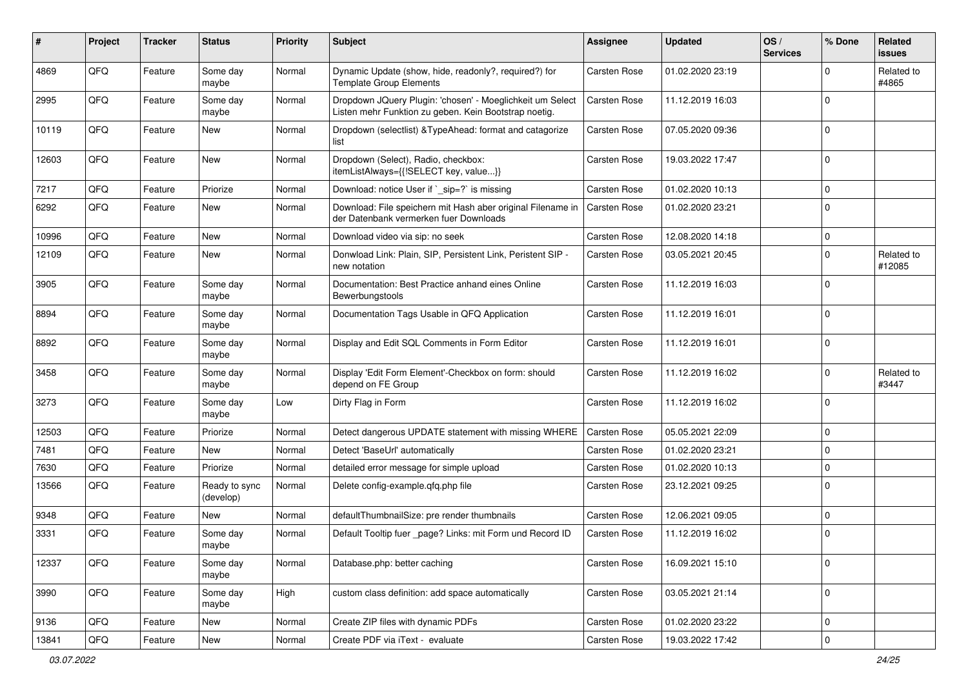| ∦     | Project | <b>Tracker</b> | <b>Status</b>              | <b>Priority</b> | Subject                                                                                                            | <b>Assignee</b>     | <b>Updated</b>   | OS/<br><b>Services</b> | % Done       | Related<br>issues    |
|-------|---------|----------------|----------------------------|-----------------|--------------------------------------------------------------------------------------------------------------------|---------------------|------------------|------------------------|--------------|----------------------|
| 4869  | QFQ     | Feature        | Some day<br>maybe          | Normal          | Dynamic Update (show, hide, readonly?, required?) for<br><b>Template Group Elements</b>                            | <b>Carsten Rose</b> | 01.02.2020 23:19 |                        | 0            | Related to<br>#4865  |
| 2995  | QFQ     | Feature        | Some day<br>maybe          | Normal          | Dropdown JQuery Plugin: 'chosen' - Moeglichkeit um Select<br>Listen mehr Funktion zu geben. Kein Bootstrap noetig. | <b>Carsten Rose</b> | 11.12.2019 16:03 |                        | $\Omega$     |                      |
| 10119 | QFQ     | Feature        | <b>New</b>                 | Normal          | Dropdown (selectlist) & TypeAhead: format and catagorize<br>list                                                   | <b>Carsten Rose</b> | 07.05.2020 09:36 |                        | $\mathbf 0$  |                      |
| 12603 | QFQ     | Feature        | <b>New</b>                 | Normal          | Dropdown (Select), Radio, checkbox:<br>itemListAlways={{!SELECT key, value}}                                       | <b>Carsten Rose</b> | 19.03.2022 17:47 |                        | $\Omega$     |                      |
| 7217  | QFQ     | Feature        | Priorize                   | Normal          | Download: notice User if `_sip=?` is missing                                                                       | <b>Carsten Rose</b> | 01.02.2020 10:13 |                        | $\mathbf 0$  |                      |
| 6292  | QFQ     | Feature        | New                        | Normal          | Download: File speichern mit Hash aber original Filename in<br>der Datenbank vermerken fuer Downloads              | <b>Carsten Rose</b> | 01.02.2020 23:21 |                        | $\mathbf 0$  |                      |
| 10996 | QFQ     | Feature        | <b>New</b>                 | Normal          | Download video via sip: no seek                                                                                    | <b>Carsten Rose</b> | 12.08.2020 14:18 |                        | 0            |                      |
| 12109 | QFQ     | Feature        | <b>New</b>                 | Normal          | Donwload Link: Plain, SIP, Persistent Link, Peristent SIP -<br>new notation                                        | <b>Carsten Rose</b> | 03.05.2021 20:45 |                        | $\Omega$     | Related to<br>#12085 |
| 3905  | QFQ     | Feature        | Some day<br>maybe          | Normal          | Documentation: Best Practice anhand eines Online<br>Bewerbungstools                                                | <b>Carsten Rose</b> | 11.12.2019 16:03 |                        | $\mathbf 0$  |                      |
| 8894  | QFQ     | Feature        | Some day<br>maybe          | Normal          | Documentation Tags Usable in QFQ Application                                                                       | <b>Carsten Rose</b> | 11.12.2019 16:01 |                        | $\mathbf{0}$ |                      |
| 8892  | QFQ     | Feature        | Some day<br>maybe          | Normal          | Display and Edit SQL Comments in Form Editor                                                                       | <b>Carsten Rose</b> | 11.12.2019 16:01 |                        | $\mathbf 0$  |                      |
| 3458  | QFQ     | Feature        | Some day<br>maybe          | Normal          | Display 'Edit Form Element'-Checkbox on form: should<br>depend on FE Group                                         | <b>Carsten Rose</b> | 11.12.2019 16:02 |                        | $\mathbf 0$  | Related to<br>#3447  |
| 3273  | QFQ     | Feature        | Some day<br>maybe          | Low             | Dirty Flag in Form                                                                                                 | <b>Carsten Rose</b> | 11.12.2019 16:02 |                        | $\mathbf 0$  |                      |
| 12503 | QFQ     | Feature        | Priorize                   | Normal          | Detect dangerous UPDATE statement with missing WHERE                                                               | <b>Carsten Rose</b> | 05.05.2021 22:09 |                        | $\mathbf 0$  |                      |
| 7481  | QFQ     | Feature        | <b>New</b>                 | Normal          | Detect 'BaseUrl' automatically                                                                                     | <b>Carsten Rose</b> | 01.02.2020 23:21 |                        | $\mathbf 0$  |                      |
| 7630  | QFQ     | Feature        | Priorize                   | Normal          | detailed error message for simple upload                                                                           | <b>Carsten Rose</b> | 01.02.2020 10:13 |                        | $\mathbf 0$  |                      |
| 13566 | QFQ     | Feature        | Ready to sync<br>(develop) | Normal          | Delete config-example.qfq.php file                                                                                 | Carsten Rose        | 23.12.2021 09:25 |                        | $\mathbf 0$  |                      |
| 9348  | QFQ     | Feature        | <b>New</b>                 | Normal          | defaultThumbnailSize: pre render thumbnails                                                                        | <b>Carsten Rose</b> | 12.06.2021 09:05 |                        | $\mathbf 0$  |                      |
| 3331  | QFQ     | Feature        | Some day<br>  maybe        | Normal          | Default Tooltip fuer page? Links: mit Form und Record ID                                                           | <b>Carsten Rose</b> | 11.12.2019 16:02 |                        | $\Omega$     |                      |
| 12337 | QFQ     | Feature        | Some day<br>maybe          | Normal          | Database.php: better caching                                                                                       | Carsten Rose        | 16.09.2021 15:10 |                        | $\mathbf 0$  |                      |
| 3990  | QFQ     | Feature        | Some day<br>maybe          | High            | custom class definition: add space automatically                                                                   | Carsten Rose        | 03.05.2021 21:14 |                        | $\mathbf 0$  |                      |
| 9136  | QFQ     | Feature        | New                        | Normal          | Create ZIP files with dynamic PDFs                                                                                 | Carsten Rose        | 01.02.2020 23:22 |                        | 0            |                      |
| 13841 | QFQ     | Feature        | New                        | Normal          | Create PDF via iText - evaluate                                                                                    | Carsten Rose        | 19.03.2022 17:42 |                        | 0            |                      |